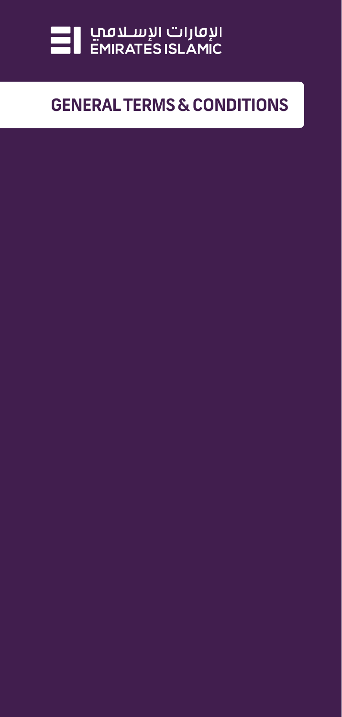

# **GENERAL TERMS & CONDITIONS**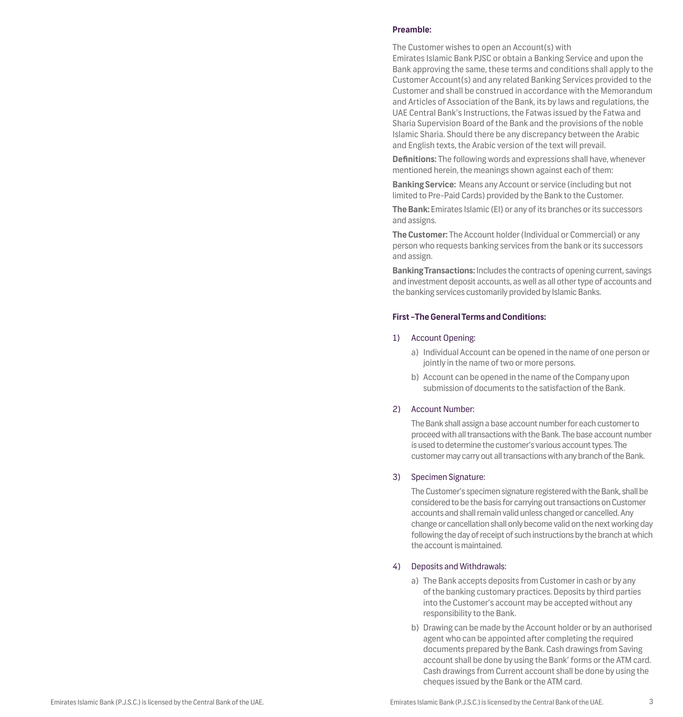#### **Preamble:**

The Customer wishes to open an Account(s) with Emirates Islamic Bank PJSC or obtain a Banking Service and upon the Bank approving the same, these terms and conditions shall apply to the Customer Account(s) and any related Banking Services provided to the Customer and shall be construed in accordance with the Memorandum and Articles of Association of the Bank, its by laws and regulations, the UAE Central Bank's Instructions, the Fatwas issued by the Fatwa and Sharia Supervision Board of the Bank and the provisions of the noble Islamic Sharia. Should there be any discrepancy between the Arabic and English texts, the Arabic version of the text will prevail.

**Definitions:** The following words and expressions shall have, whenever mentioned herein, the meanings shown against each of them:

**Banking Service:** Means any Account or service (including but not limited to Pre-Paid Cards) provided by the Bank to the Customer.

**The Bank:** Emirates Islamic (EI) or any of its branches or its successors and assigns.

**The Customer:** The Account holder (Individual or Commercial) or any person who requests banking services from the bank or its successors and assign.

**Banking Transactions:** Includes the contracts of opening current, savings and investment deposit accounts, as well as all other type of accounts and the banking services customarily provided by Islamic Banks.

#### **First -The General Terms and Conditions:**

#### 1) Account Opening:

- a) Individual Account can be opened in the name of one person or jointly in the name of two or more persons.
- b) Account can be opened in the name of the Company upon submission of documents to the satisfaction of the Bank.

#### 2) Account Number:

The Bank shall assign a base account number for each customer to proceed with all transactions with the Bank. The base account number is used to determine the customer's various account types. The customer may carry out all transactions with any branch of the Bank.

#### 3) Specimen Signature:

The Customer's specimen signature registered with the Bank, shall be considered to be the basis for carrying out transactions on Customer accounts and shall remain valid unless changed or cancelled. Any change or cancellation shall only become valid on the next working day following the day of receipt of such instructions by the branch at which the account is maintained.

#### 4) Deposits and Withdrawals:

- a) The Bank accepts deposits from Customer in cash or by any of the banking customary practices. Deposits by third parties into the Customer's account may be accepted without any responsibility to the Bank.
- b) Drawing can be made by the Account holder or by an authorised agent who can be appointed after completing the required documents prepared by the Bank. Cash drawings from Saving account shall be done by using the Bank' forms or the ATM card. Cash drawings from Current account shall be done by using the cheques issued by the Bank or the ATM card.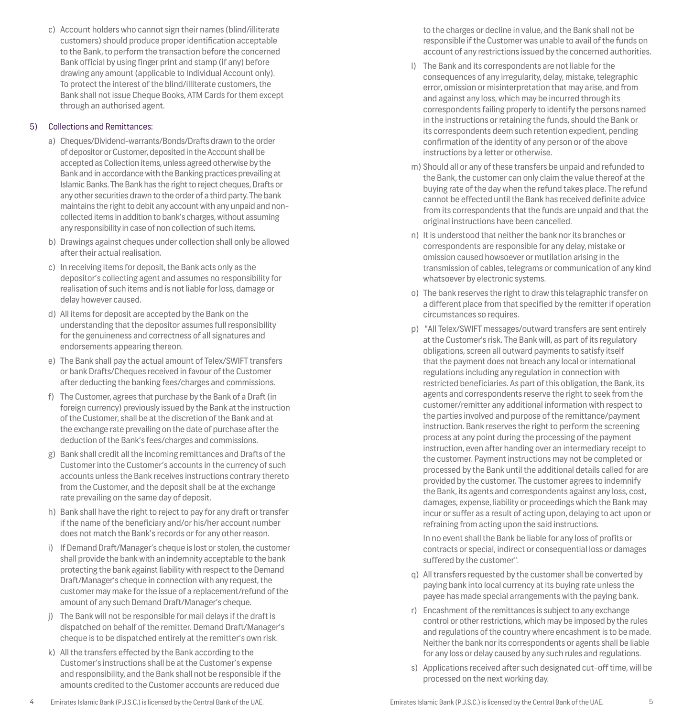customers) should produce proper identification acceptable to the Bank, to perform the transaction before the concerned Bank official by using finger print and stamp (if any) before drawing any amount (applicable to Individual Account only). To protect the interest of the blind/illiterate customers, the Bank shall not issue Cheque Books, ATM Cards for them except through an authorised agent.

c) Account holders who cannot sign their names (blind/illiterate

## 5) Collections and Remittances:

- a) Cheques/Dividend-warrants/Bonds/Drafts drawn to the order of depositor or Customer, deposited in the Account shall be accepted as Collection items, unless agreed otherwise by the Bank and in accordance with the Banking practices prevailing at Islamic Banks. The Bank has the right to reject cheques, Drafts or any other securities drawn to the order of a third party. The bank maintains the right to debit any account with any unpaid and noncollected items in addition to bank's charges, without assuming any responsibility in case of non collection of such items.
- b) Drawings against cheques under collection shall only be allowed after their actual realisation.
- c) In receiving items for deposit, the Bank acts only as the depositor's collecting agent and assumes no responsibility for realisation of such items and is not liable for loss, damage or delay however caused.
- d) All items for deposit are accepted by the Bank on the understanding that the depositor assumes full responsibility for the genuineness and correctness of all signatures and endorsements appearing thereon.
- e) The Bank shall pay the actual amount of Telex/SWIFT transfers or bank Drafts/Cheques received in favour of the Customer after deducting the banking fees/charges and commissions.
- f) The Customer, agrees that purchase by the Bank of a Draft (in foreign currency) previously issued by the Bank at the instruction of the Customer, shall be at the discretion of the Bank and at the exchange rate prevailing on the date of purchase after the deduction of the Bank's fees/charges and commissions.
- g) Bank shall credit all the incoming remittances and Drafts of the Customer into the Customer's accounts in the currency of such accounts unless the Bank receives instructions contrary thereto from the Customer, and the deposit shall be at the exchange rate prevailing on the same day of deposit.
- h) Bank shall have the right to reject to pay for any draft or transfer if the name of the beneficiary and/or his/her account number does not match the Bank's records or for any other reason.
- i) If Demand Draft/Manager's cheque is lost or stolen, the customer shall provide the bank with an indemnity acceptable to the bank protecting the bank against liability with respect to the Demand Draft/Manager's cheque in connection with any request, the customer may make for the issue of a replacement/refund of the amount of any such Demand Draft/Manager's cheque.
- j) The Bank will not be responsible for mail delays if the draft is dispatched on behalf of the remitter. Demand Draft/Manager's cheque is to be dispatched entirely at the remitter's own risk.
- k) All the transfers effected by the Bank according to the Customer's instructions shall be at the Customer's expense and responsibility, and the Bank shall not be responsible if the amounts credited to the Customer accounts are reduced due

to the charges or decline in value, and the Bank shall not be responsible if the Customer was unable to avail of the funds on account of any restrictions issued by the concerned authorities.

- l) The Bank and its correspondents are not liable for the consequences of any irregularity, delay, mistake, telegraphic error, omission or misinterpretation that may arise, and from and against any loss, which may be incurred through its correspondents failing properly to identify the persons named in the instructions or retaining the funds, should the Bank or its correspondents deem such retention expedient, pending confirmation of the identity of any person or of the above instructions by a letter or otherwise.
- m) Should all or any of these transfers be unpaid and refunded to the Bank, the customer can only claim the value thereof at the buying rate of the day when the refund takes place. The refund cannot be effected until the Bank has received definite advice from its correspondents that the funds are unpaid and that the original instructions have been cancelled.
- n) It is understood that neither the bank nor its branches or correspondents are responsible for any delay, mistake or omission caused howsoever or mutilation arising in the transmission of cables, telegrams or communication of any kind whatsoever by electronic systems.
- o) The bank reserves the right to draw this telagraphic transfer on a different place from that specified by the remitter if operation circumstances so requires.
- p) "All Telex/SWIFT messages/outward transfers are sent entirely at the Customer's risk. The Bank will, as part of its regulatory obligations, screen all outward payments to satisfy itself that the payment does not breach any local or international regulations including any regulation in connection with restricted beneficiaries. As part of this obligation, the Bank, its agents and correspondents reserve the right to seek from the customer/remitter any additional information with respect to the parties involved and purpose of the remittance/payment instruction. Bank reserves the right to perform the screening process at any point during the processing of the payment instruction, even after handing over an intermediary receipt to the customer. Payment instructions may not be completed or processed by the Bank until the additional details called for are provided by the customer. The customer agrees to indemnify the Bank, its agents and correspondents against any loss, cost, damages, expense, liability or proceedings which the Bank may incur or suffer as a result of acting upon, delaying to act upon or refraining from acting upon the said instructions.

In no event shall the Bank be liable for any loss of profits or contracts or special, indirect or consequential loss or damages suffered by the customer".

- q) All transfers requested by the customer shall be converted by paying bank into local currency at its buying rate unless the payee has made special arrangements with the paying bank.
- r) Encashment of the remittances is subject to any exchange control or other restrictions, which may be imposed by the rules and regulations of the country where encashment is to be made. Neither the bank nor its correspondents or agents shall be liable for any loss or delay caused by any such rules and regulations.
- s) Applications received after such designated cut-off time, will be processed on the next working day.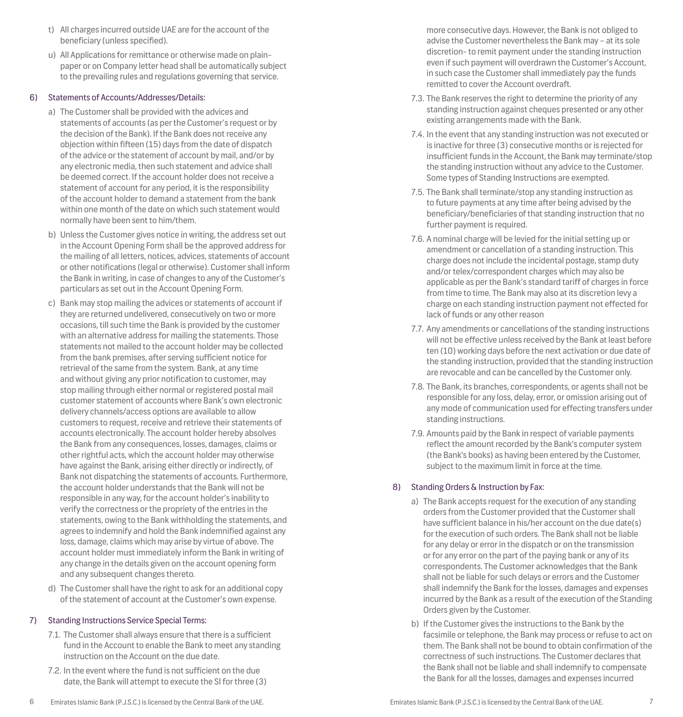- t) All charges incurred outside UAE are for the account of the beneficiary (unless specified).
- u) All Applications for remittance or otherwise made on plainpaper or on Company letter head shall be automatically subject to the prevailing rules and regulations governing that service.

#### 6) Statements of Accounts/Addresses/Details:

- a) The Customer shall be provided with the advices and statements of accounts (as per the Customer's request or by the decision of the Bank). If the Bank does not receive any objection within fifteen (15) days from the date of dispatch of the advice or the statement of account by mail, and/or by any electronic media, then such statement and advice shall be deemed correct. If the account holder does not receive a statement of account for any period, it is the responsibility of the account holder to demand a statement from the bank within one month of the date on which such statement would normally have been sent to him/them.
- b) Unless the Customer gives notice in writing, the address set out in the Account Opening Form shall be the approved address for the mailing of all letters, notices, advices, statements of account or other notifications (legal or otherwise). Customer shall inform the Bank in writing, in case of changes to any of the Customer's particulars as set out in the Account Opening Form.
- c) Bank may stop mailing the advices or statements of account if they are returned undelivered, consecutively on two or more occasions, till such time the Bank is provided by the customer with an alternative address for mailing the statements. Those statements not mailed to the account holder may be collected from the bank premises, after serving sufficient notice for retrieval of the same from the system. Bank, at any time and without giving any prior notification to customer, may stop mailing through either normal or registered postal mail customer statement of accounts where Bank's own electronic delivery channels/access options are available to allow customers to request, receive and retrieve their statements of accounts electronically. The account holder hereby absolves the Bank from any consequences, losses, damages, claims or other rightful acts, which the account holder may otherwise have against the Bank, arising either directly or indirectly, of Bank not dispatching the statements of accounts. Furthermore, the account holder understands that the Bank will not be responsible in any way, for the account holder's inability to verify the correctness or the propriety of the entries in the statements, owing to the Bank withholding the statements, and agrees to indemnify and hold the Bank indemnified against any loss, damage, claims which may arise by virtue of above. The account holder must immediately inform the Bank in writing of any change in the details given on the account opening form and any subsequent changes thereto.
- d) The Customer shall have the right to ask for an additional copy of the statement of account at the Customer's own expense.

## 7) Standing Instructions Service Special Terms:

- 7.1. The Customer shall always ensure that there is a sufficient fund in the Account to enable the Bank to meet any standing instruction on the Account on the due date.
- 7.2. In the event where the fund is not sufficient on the due date, the Bank will attempt to execute the SI for three (3)

more consecutive days. However, the Bank is not obliged to advise the Customer nevertheless the Bank may – at its sole discretion- to remit payment under the standing instruction even if such payment will overdrawn the Customer's Account, in such case the Customer shall immediately pay the funds remitted to cover the Account overdraft.

- 7.3. The Bank reserves the right to determine the priority of any standing instruction against cheques presented or any other existing arrangements made with the Bank.
- 7.4. In the event that any standing instruction was not executed or is inactive for three (3) consecutive months or is rejected for insufficient funds in the Account, the Bank may terminate/stop the standing instruction without any advice to the Customer. Some types of Standing Instructions are exempted.
- 7.5. The Bank shall terminate/stop any standing instruction as to future payments at any time after being advised by the beneficiary/beneficiaries of that standing instruction that no further payment is required.
- 7.6. A nominal charge will be levied for the initial setting up or amendment or cancellation of a standing instruction. This charge does not include the incidental postage, stamp duty and/or telex/correspondent charges which may also be applicable as per the Bank's standard tariff of charges in force from time to time. The Bank may also at its discretion levy a charge on each standing instruction payment not effected for lack of funds or any other reason
- 7.7. Any amendments or cancellations of the standing instructions will not be effective unless received by the Bank at least before ten (10) working days before the next activation or due date of the standing instruction, provided that the standing instruction are revocable and can be cancelled by the Customer only.
- 7.8. The Bank, its branches, correspondents, or agents shall not be responsible for any loss, delay, error, or omission arising out of any mode of communication used for effecting transfers under standing instructions.
- 7.9. Amounts paid by the Bank in respect of variable payments reflect the amount recorded by the Bank's computer system (the Bank's books) as having been entered by the Customer, subject to the maximum limit in force at the time.

## 8) Standing Orders & Instruction by Fax:

- a) The Bank accepts request for the execution of any standing orders from the Customer provided that the Customer shall have sufficient balance in his/her account on the due date(s) for the execution of such orders. The Bank shall not be liable for any delay or error in the dispatch or on the transmission or for any error on the part of the paying bank or any of its correspondents. The Customer acknowledges that the Bank shall not be liable for such delays or errors and the Customer shall indemnify the Bank for the losses, damages and expenses incurred by the Bank as a result of the execution of the Standing Orders given by the Customer.
- b) If the Customer gives the instructions to the Bank by the facsimile or telephone, the Bank may process or refuse to act on them. The Bank shall not be bound to obtain confirmation of the correctness of such instructions. The Customer declares that the Bank shall not be liable and shall indemnify to compensate the Bank for all the losses, damages and expenses incurred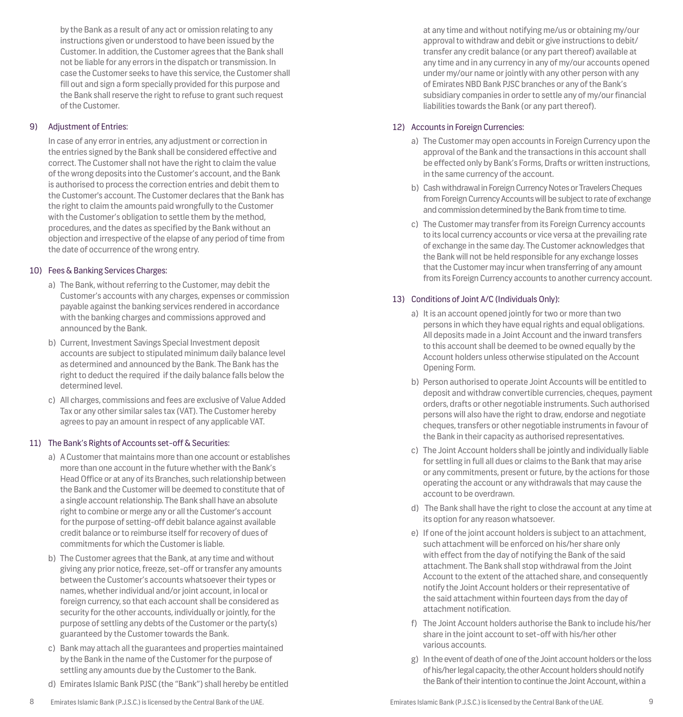by the Bank as a result of any act or omission relating to any instructions given or understood to have been issued by the Customer. In addition, the Customer agrees that the Bank shall not be liable for any errors in the dispatch or transmission. In case the Customer seeks to have this service, the Customer shall fill out and sign a form specially provided for this purpose and the Bank shall reserve the right to refuse to grant such request of the Customer.

## 9) Adjustment of Entries:

In case of any error in entries, any adjustment or correction in the entries signed by the Bank shall be considered effective and correct. The Customer shall not have the right to claim the value of the wrong deposits into the Customer's account, and the Bank is authorised to process the correction entries and debit them to the Customer's account. The Customer declares that the Bank has the right to claim the amounts paid wrongfully to the Customer with the Customer's obligation to settle them by the method, procedures, and the dates as specified by the Bank without an objection and irrespective of the elapse of any period of time from the date of occurrence of the wrong entry.

## 10) Fees & Banking Services Charges:

- a) The Bank, without referring to the Customer, may debit the Customer's accounts with any charges, expenses or commission payable against the banking services rendered in accordance with the banking charges and commissions approved and announced by the Bank.
- b) Current, Investment Savings Special Investment deposit accounts are subject to stipulated minimum daily balance level as determined and announced by the Bank. The Bank has the right to deduct the required if the daily balance falls below the determined level.
- c) All charges, commissions and fees are exclusive of Value Added Tax or any other similar sales tax (VAT). The Customer hereby agrees to pay an amount in respect of any applicable VAT.

## 11) The Bank's Rights of Accounts set-off & Securities:

- a) A Customer that maintains more than one account or establishes more than one account in the future whether with the Bank's Head Office or at any of its Branches, such relationship between the Bank and the Customer will be deemed to constitute that of a single account relationship. The Bank shall have an absolute right to combine or merge any or all the Customer's account for the purpose of setting-off debit balance against available credit balance or to reimburse itself for recovery of dues of commitments for which the Customer is liable.
- b) The Customer agrees that the Bank, at any time and without giving any prior notice, freeze, set-off or transfer any amounts between the Customer's accounts whatsoever their types or names, whether individual and/or joint account, in local or foreign currency, so that each account shall be considered as security for the other accounts, individually or jointly, for the purpose of settling any debts of the Customer or the party(s) guaranteed by the Customer towards the Bank.
- c) Bank may attach all the guarantees and properties maintained by the Bank in the name of the Customer for the purpose of settling any amounts due by the Customer to the Bank.
- d) Emirates Islamic Bank PJSC (the "Bank") shall hereby be entitled

at any time and without notifying me/us or obtaining my/our approval to withdraw and debit or give instructions to debit/ transfer any credit balance (or any part thereof) available at any time and in any currency in any of my/our accounts opened under my/our name or jointly with any other person with any of Emirates NBD Bank PJSC branches or any of the Bank's subsidiary companies in order to settle any of my/our financial liabilities towards the Bank (or any part thereof).

## 12) Accounts in Foreign Currencies:

- a) The Customer may open accounts in Foreign Currency upon the approval of the Bank and the transactions in this account shall be effected only by Bank's Forms, Drafts or written instructions, in the same currency of the account.
- b) Cash withdrawal in Foreign Currency Notes or Travelers Cheques from Foreign Currency Accounts will be subject to rate of exchange and commission determined by the Bank from time to time.
- c) The Customer may transfer from its Foreign Currency accounts to its local currency accounts or vice versa at the prevailing rate of exchange in the same day. The Customer acknowledges that the Bank will not be held responsible for any exchange losses that the Customer may incur when transferring of any amount from its Foreign Currency accounts to another currency account.

## 13) Conditions of Joint A/C (Individuals Only):

- a) It is an account opened jointly for two or more than two persons in which they have equal rights and equal obligations. All deposits made in a Joint Account and the inward transfers to this account shall be deemed to be owned equally by the Account holders unless otherwise stipulated on the Account Opening Form.
- b) Person authorised to operate Joint Accounts will be entitled to deposit and withdraw convertible currencies, cheques, payment orders, drafts or other negotiable instruments. Such authorised persons will also have the right to draw, endorse and negotiate cheques, transfers or other negotiable instruments in favour of the Bank in their capacity as authorised representatives.
- c) The Joint Account holders shall be jointly and individually liable for settling in full all dues or claims to the Bank that may arise or any commitments, present or future, by the actions for those operating the account or any withdrawals that may cause the account to be overdrawn.
- d) The Bank shall have the right to close the account at any time at its option for any reason whatsoever.
- e) If one of the joint account holders is subject to an attachment, such attachment will be enforced on his/her share only with effect from the day of notifying the Bank of the said attachment. The Bank shall stop withdrawal from the Joint Account to the extent of the attached share, and consequently notify the Joint Account holders or their representative of the said attachment within fourteen days from the day of attachment notification.
- f) The Joint Account holders authorise the Bank to include his/her share in the joint account to set-off with his/her other various accounts.
- g) In the event of death of one of the Joint account holders or the loss of his/her legal capacity, the other Account holders should notify the Bank of their intention to continue the Joint Account, within a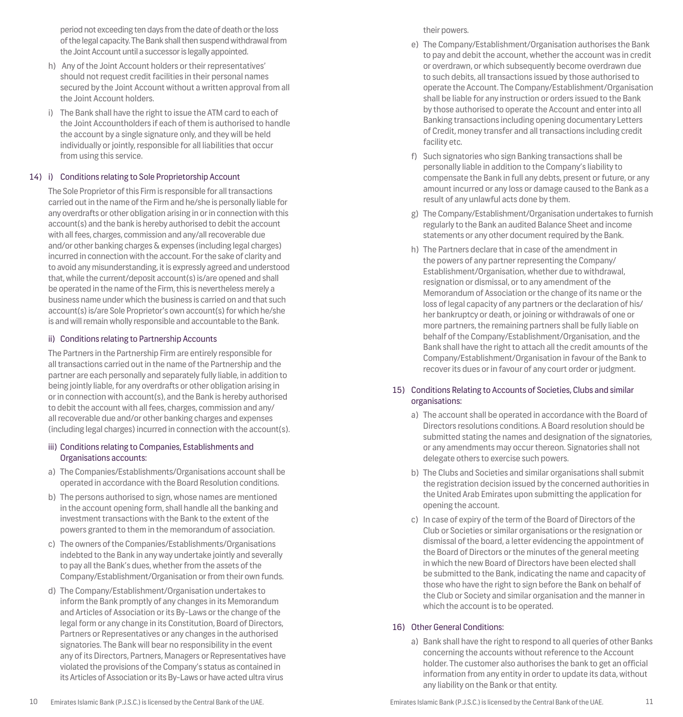period not exceeding ten days from the date of death or the loss of the legal capacity. The Bank shall then suspend withdrawal from the Joint Account until a successor is legally appointed.

- h) Any of the Joint Account holders or their representatives' should not request credit facilities in their personal names secured by the Joint Account without a written approval from all the Joint Account holders.
- i) The Bank shall have the right to issue the ATM card to each of the Joint Accountholders if each of them is authorised to handle the account by a single signature only, and they will be held individually or jointly, responsible for all liabilities that occur from using this service.

## 14) i) Conditions relating to Sole Proprietorship Account

The Sole Proprietor of this Firm is responsible for all transactions carried out in the name of the Firm and he/she is personally liable for any overdrafts or other obligation arising in or in connection with this account(s) and the bank is hereby authorised to debit the account with all fees, charges, commission and any/all recoverable due and/or other banking charges & expenses (including legal charges) incurred in connection with the account. For the sake of clarity and to avoid any misunderstanding, it is expressly agreed and understood that, while the current/deposit account(s) is/are opened and shall be operated in the name of the Firm, this is nevertheless merely a business name under which the business is carried on and that such account(s) is/are Sole Proprietor's own account(s) for which he/she is and will remain wholly responsible and accountable to the Bank.

#### ii) Conditions relating to Partnership Accounts

The Partners in the Partnership Firm are entirely responsible for all transactions carried out in the name of the Partnership and the partner are each personally and separately fully liable, in addition to being jointly liable, for any overdrafts or other obligation arising in or in connection with account(s), and the Bank is hereby authorised to debit the account with all fees, charges, commission and any/ all recoverable due and/or other banking charges and expenses (including legal charges) incurred in connection with the account(s).

## iii) Conditions relating to Companies, Establishments and Organisations accounts:

- a) The Companies/Establishments/Organisations account shall be operated in accordance with the Board Resolution conditions.
- b) The persons authorised to sign, whose names are mentioned in the account opening form, shall handle all the banking and investment transactions with the Bank to the extent of the powers granted to them in the memorandum of association.
- c) The owners of the Companies/Establishments/Organisations indebted to the Bank in any way undertake jointly and severally to pay all the Bank's dues, whether from the assets of the Company/Establishment/Organisation or from their own funds.
- d) The Company/Establishment/Organisation undertakes to inform the Bank promptly of any changes in its Memorandum and Articles of Association or its By-Laws or the change of the legal form or any change in its Constitution, Board of Directors, Partners or Representatives or any changes in the authorised signatories. The Bank will bear no responsibility in the event any of its Directors, Partners, Managers or Representatives have violated the provisions of the Company's status as contained in its Articles of Association or its By-Laws or have acted ultra virus

their powers.

- e) The Company/Establishment/Organisation authorises the Bank to pay and debit the account, whether the account was in credit or overdrawn, or which subsequently become overdrawn due to such debits, all transactions issued by those authorised to operate the Account. The Company/Establishment/Organisation shall be liable for any instruction or orders issued to the Bank by those authorised to operate the Account and enter into all Banking transactions including opening documentary Letters of Credit, money transfer and all transactions including credit facility etc.
- f) Such signatories who sign Banking transactions shall be personally liable in addition to the Company's liability to compensate the Bank in full any debts, present or future, or any amount incurred or any loss or damage caused to the Bank as a result of any unlawful acts done by them.
- g) The Company/Establishment/Organisation undertakes to furnish regularly to the Bank an audited Balance Sheet and income statements or any other document required by the Bank.
- h) The Partners declare that in case of the amendment in the powers of any partner representing the Company/ Establishment/Organisation, whether due to withdrawal, resignation or dismissal, or to any amendment of the Memorandum of Association or the change of its name or the loss of legal capacity of any partners or the declaration of his/ her bankruptcy or death, or joining or withdrawals of one or more partners, the remaining partners shall be fully liable on behalf of the Company/Establishment/Organisation, and the Bank shall have the right to attach all the credit amounts of the Company/Establishment/Organisation in favour of the Bank to recover its dues or in favour of any court order or judgment.

#### 15) Conditions Relating to Accounts of Societies, Clubs and similar organisations:

- a) The account shall be operated in accordance with the Board of Directors resolutions conditions. A Board resolution should be submitted stating the names and designation of the signatories, or any amendments may occur thereon. Signatories shall not delegate others to exercise such powers.
- b) The Clubs and Societies and similar organisations shall submit the registration decision issued by the concerned authorities in the United Arab Emirates upon submitting the application for opening the account.
- c) In case of expiry of the term of the Board of Directors of the Club or Societies or similar organisations or the resignation or dismissal of the board, a letter evidencing the appointment of the Board of Directors or the minutes of the general meeting in which the new Board of Directors have been elected shall be submitted to the Bank, indicating the name and capacity of those who have the right to sign before the Bank on behalf of the Club or Society and similar organisation and the manner in which the account is to be operated.

## 16) Other General Conditions:

a) Bank shall have the right to respond to all queries of other Banks concerning the accounts without reference to the Account holder. The customer also authorises the bank to get an official information from any entity in order to update its data, without any liability on the Bank or that entity.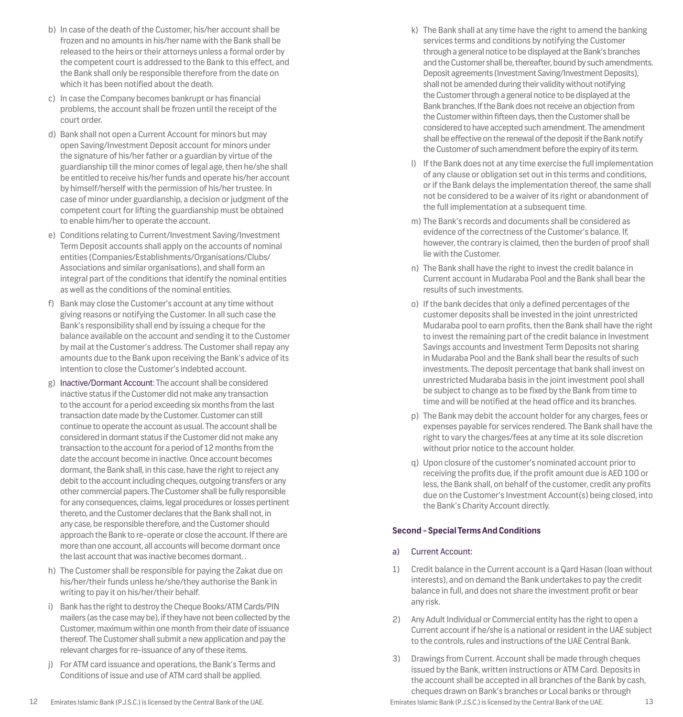- b) In case of the death of the Customer, his/her account shall be frozen and no amounts in his/her name with the Bank shall be released to the heirs or their attorneys unless a formal order by the competent court is addressed to the Bank to this effect, and the Bank shall only be responsible therefore from the date on which it has been notified about the death.
- c) In case the Company becomes bankrupt or has financial problems, the account shall be frozen until the receipt of the court order.
- d) Bank shall not open a Current Account for minors but may open Saving/Investment Deposit account for minors under the signature of his/her father or a guardian by virtue of the guardianship till the minor comes of legal age, then he/she shall be entitled to receive his/her funds and operate his/her account by himself/herself with the permission of his/her trustee. In case of minor under guardianship, a decision or judgment of the competent court for lifting the guardianship must be obtained to enable him/her to operate the account.
- e) Conditions relating to Current/Investment Saving/Investment Term Deposit accounts shall apply on the accounts of nominal entities (Companies/Establishments/Organisations/Clubs/ Associations and similar organisations), and shall form an integral part of the conditions that identify the nominal entities as well as the conditions of the nominal entities.
- f) Bank may close the Customer's account at any time without giving reasons or notifying the Customer. In all such case the Bank's responsibility shall end by issuing a cheque for the balance available on the account and sending it to the Customer by mail at the Customer's address. The Customer shall repay any amounts due to the Bank upon receiving the Bank's advice of its intention to close the Customer's indebted account.
- g) Inactive/Dormant Account: The account shall be considered inactive status if the Customer did not make any transaction to the account for a period exceeding six months from the last transaction date made by the Customer. Customer can still continue to operate the account as usual. The account shall be considered in dormant status if the Customer did not make any transaction to the account for a period of 12 months from the date the account become in inactive. Once account becomes dormant, the Bank shall, in this case, have the right to reject any debit to the account including cheques, outgoing transfers or any other commercial papers. The Customer shall be fully responsible for any consequences, claims, legal procedures or losses pertinent thereto, and the Customer declares that the Bank shall not, in any case, be responsible therefore, and the Customer should approach the Bank to re-operate or close the account. If there are more than one account, all accounts will become dormant once the last account that was inactive becomes dormant. .
- h) The Customer shall be responsible for paying the Zakat due on his/her/their funds unless he/she/they authorise the Bank in writing to pay it on his/her/their behalf.
- i) Bank has the right to destroy the Cheque Books/ATM Cards/PIN mailers (as the case may be), if they have not been collected by the Customer, maximum within one month from their date of issuance thereof. The Customer shall submit a new application and pay the relevant charges for re-issuance of any of these items.
- j) For ATM card issuance and operations, the Bank's Terms and Conditions of issue and use of ATM card shall be applied.
- k) The Bank shall at any time have the right to amend the banking services terms and conditions by notifying the Customer through a general notice to be displayed at the Bank's branches and the Customer shall be, thereafter, bound by such amendments. Deposit agreements (Investment Saving/Investment Deposits), shall not be amended during their validity without notifying the Customer through a general notice to be displayed at the Bank branches. If the Bank does not receive an objection from the Customer within fifteen days, then the Customer shall be considered to have accepted such amendment. The amendment shall be effective on the renewal of the deposit if the Bank notify the Customer of such amendment before the expiry of its term.
- l) If the Bank does not at any time exercise the full implementation of any clause or obligation set out in this terms and conditions, or if the Bank delays the implementation thereof, the same shall not be considered to be a waiver of its right or abandonment of the full implementation at a subsequent time.
- m) The Bank's records and documents shall be considered as evidence of the correctness of the Customer's balance. If, however, the contrary is claimed, then the burden of proof shall lie with the Customer.
- n) The Bank shall have the right to invest the credit balance in Current account in Mudaraba Pool and the Bank shall bear the results of such investments.
- o) If the bank decides that only a defined percentages of the customer deposits shall be invested in the joint unrestricted Mudaraba pool to earn profits, then the Bank shall have the right to invest the remaining part of the credit balance in Investment Savings accounts and Investment Term Deposits not sharing in Mudaraba Pool and the Bank shall bear the results of such investments. The deposit percentage that bank shall invest on unrestricted Mudaraba basis in the joint investment pool shall be subject to change as to be fixed by the Bank from time to time and will be notified at the head office and its branches.
- p) The Bank may debit the account holder for any charges, fees or expenses payable for services rendered. The Bank shall have the right to vary the charges/fees at any time at its sole discretion without prior notice to the account holder.
- q) Upon closure of the customer's nominated account prior to receiving the profits due, if the profit amount due is AED 100 or less, the Bank shall, on behalf of the customer, credit any profits due on the Customer's Investment Account(s) being closed, into the Bank's Charity Account directly.

## **Second - Special Terms And Conditions**

#### a) Current Account:

- 1) Credit balance in the Current account is a Qard Hasan (loan without interests), and on demand the Bank undertakes to pay the credit balance in full, and does not share the investment profit or bear any risk.
- 2) Any Adult Individual or Commercial entity has the right to open a Current account if he/she is a national or resident in the UAE subject to the controls, rules and instructions of the UAE Central Bank.
- 3) Drawings from Current. Account shall be made through cheques issued by the Bank, written instructions or ATM Card. Deposits in the account shall be accepted in all branches of the Bank by cash, cheques drawn on Bank's branches or Local banks or through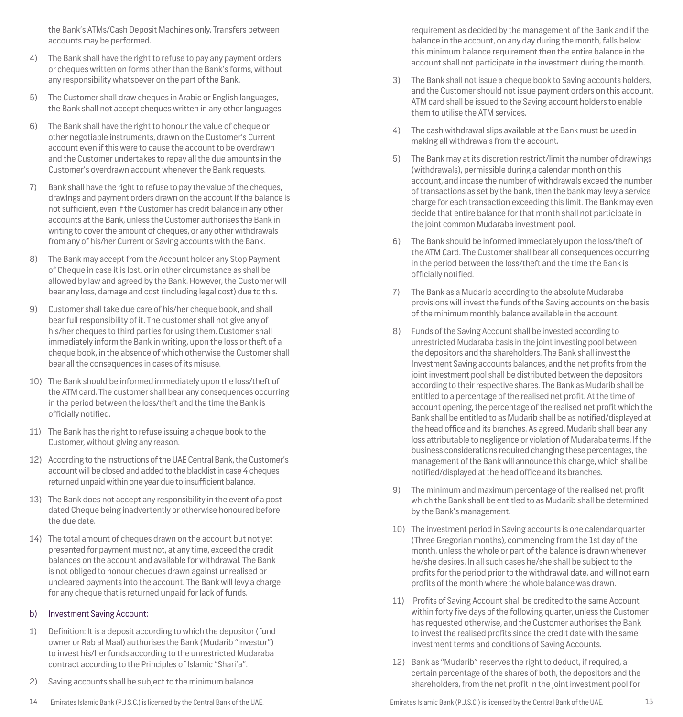the Bank's ATMs/Cash Deposit Machines only. Transfers between accounts may be performed.

- 4) The Bank shall have the right to refuse to pay any payment orders or cheques written on forms other than the Bank's forms, without any responsibility whatsoever on the part of the Bank.
- 5) The Customer shall draw cheques in Arabic or English languages, the Bank shall not accept cheques written in any other languages.
- 6) The Bank shall have the right to honour the value of cheque or other negotiable instruments, drawn on the Customer's Current account even if this were to cause the account to be overdrawn and the Customer undertakes to repay all the due amounts in the Customer's overdrawn account whenever the Bank requests.
- 7) Bank shall have the right to refuse to pay the value of the cheques, drawings and payment orders drawn on the account if the balance is not sufficient, even if the Customer has credit balance in any other accounts at the Bank, unless the Customer authorises the Bank in writing to cover the amount of cheques, or any other withdrawals from any of his/her Current or Saving accounts with the Bank.
- 8) The Bank may accept from the Account holder any Stop Payment of Cheque in case it is lost, or in other circumstance as shall be allowed by law and agreed by the Bank. However, the Customer will bear any loss, damage and cost (including legal cost) due to this.
- 9) Customer shall take due care of his/her cheque book, and shall bear full responsibility of it. The customer shall not give any of his/her cheques to third parties for using them. Customer shall immediately inform the Bank in writing, upon the loss or theft of a cheque book, in the absence of which otherwise the Customer shall bear all the consequences in cases of its misuse.
- 10) The Bank should be informed immediately upon the loss/theft of the ATM card. The customer shall bear any consequences occurring in the period between the loss/theft and the time the Bank is officially notified.
- 11) The Bank has the right to refuse issuing a cheque book to the Customer, without giving any reason.
- 12) According to the instructions of the UAE Central Bank, the Customer's account will be closed and added to the blacklist in case 4 cheques returned unpaid within one year due to insufficient balance.
- 13) The Bank does not accept any responsibility in the event of a postdated Cheque being inadvertently or otherwise honoured before the due date.
- 14) The total amount of cheques drawn on the account but not yet presented for payment must not, at any time, exceed the credit balances on the account and available for withdrawal. The Bank is not obliged to honour cheques drawn against unrealised or uncleared payments into the account. The Bank will levy a charge for any cheque that is returned unpaid for lack of funds.

#### b) Investment Saving Account:

- 1) Definition: It is a deposit according to which the depositor (fund owner or Rab al Maal) authorises the Bank (Mudarib "investor") to invest his/her funds according to the unrestricted Mudaraba contract according to the Principles of Islamic "Shari'a".
- 2) Saving accounts shall be subject to the minimum balance
- 

requirement as decided by the management of the Bank and if the balance in the account, on any day during the month, falls below this minimum balance requirement then the entire balance in the account shall not participate in the investment during the month.

- 3) The Bank shall not issue a cheque book to Saving accounts holders, and the Customer should not issue payment orders on this account. ATM card shall be issued to the Saving account holders to enable them to utilise the ATM services.
- 4) The cash withdrawal slips available at the Bank must be used in making all withdrawals from the account.
- 5) The Bank may at its discretion restrict/limit the number of drawings (withdrawals), permissible during a calendar month on this account, and incase the number of withdrawals exceed the number of transactions as set by the bank, then the bank may levy a service charge for each transaction exceeding this limit. The Bank may even decide that entire balance for that month shall not participate in the joint common Mudaraba investment pool.
- 6) The Bank should be informed immediately upon the loss/theft of the ATM Card. The Customer shall bear all consequences occurring in the period between the loss/theft and the time the Bank is officially notified.
- 7) The Bank as a Mudarib according to the absolute Mudaraba provisions will invest the funds of the Saving accounts on the basis of the minimum monthly balance available in the account.
- 8) Funds of the Saving Account shall be invested according to unrestricted Mudaraba basis in the joint investing pool between the depositors and the shareholders. The Bank shall invest the Investment Saving accounts balances, and the net profits from the joint investment pool shall be distributed between the depositors according to their respective shares. The Bank as Mudarib shall be entitled to a percentage of the realised net profit. At the time of account opening, the percentage of the realised net profit which the Bank shall be entitled to as Mudarib shall be as notified/displayed at the head office and its branches. As agreed, Mudarib shall bear any loss attributable to negligence or violation of Mudaraba terms. If the business considerations required changing these percentages, the management of the Bank will announce this change, which shall be notified/displayed at the head office and its branches.
- 9) The minimum and maximum percentage of the realised net profit which the Bank shall be entitled to as Mudarib shall be determined by the Bank's management.
- 10) The investment period in Saving accounts is one calendar quarter (Three Gregorian months), commencing from the 1st day of the month, unless the whole or part of the balance is drawn whenever he/she desires. In all such cases he/she shall be subject to the profits for the period prior to the withdrawal date, and will not earn profits of the month where the whole balance was drawn.
- 11) Profits of Saving Account shall be credited to the same Account within forty five days of the following quarter, unless the Customer has requested otherwise, and the Customer authorises the Bank to invest the realised profits since the credit date with the same investment terms and conditions of Saving Accounts.
- 12) Bank as "Mudarib" reserves the right to deduct, if required, a certain percentage of the shares of both, the depositors and the shareholders, from the net profit in the joint investment pool for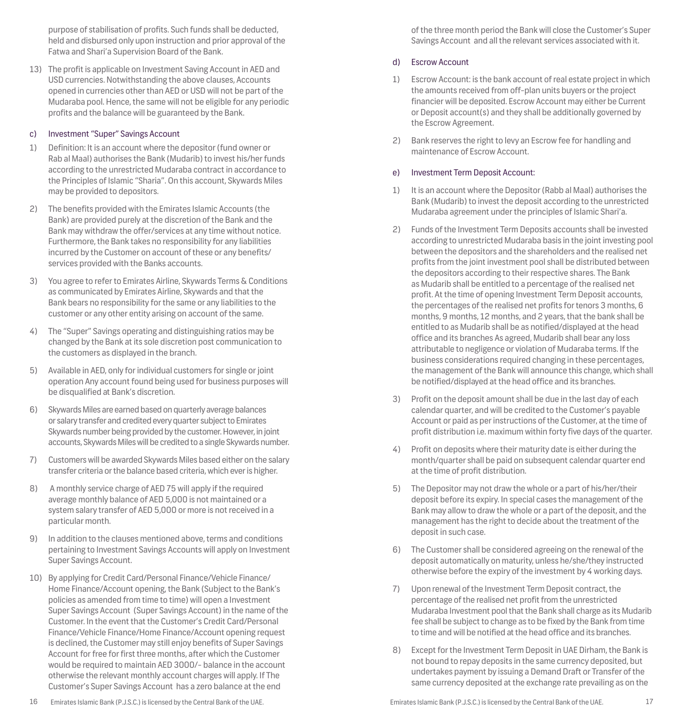purpose of stabilisation of profits. Such funds shall be deducted, held and disbursed only upon instruction and prior approval of the Fatwa and Shari'a Supervision Board of the Bank.

13) The profit is applicable on Investment Saving Account in AED and USD currencies. Notwithstanding the above clauses, Accounts opened in currencies other than AED or USD will not be part of the Mudaraba pool. Hence, the same will not be eligible for any periodic profits and the balance will be guaranteed by the Bank.

#### c) Investment "Super" Savings Account

- 1) Definition: It is an account where the depositor (fund owner or Rab al Maal) authorises the Bank (Mudarib) to invest his/her funds according to the unrestricted Mudaraba contract in accordance to the Principles of Islamic "Sharia". On this account, Skywards Miles may be provided to depositors.
- 2) The benefits provided with the Emirates Islamic Accounts (the Bank) are provided purely at the discretion of the Bank and the Bank may withdraw the offer/services at any time without notice. Furthermore, the Bank takes no responsibility for any liabilities incurred by the Customer on account of these or any benefits/ services provided with the Banks accounts.
- 3) You agree to refer to Emirates Airline, Skywards Terms & Conditions as communicated by Emirates Airline, Skywards and that the Bank bears no responsibility for the same or any liabilities to the customer or any other entity arising on account of the same.
- 4) The "Super" Savings operating and distinguishing ratios may be changed by the Bank at its sole discretion post communication to the customers as displayed in the branch.
- 5) Available in AED, only for individual customers for single or joint operation Any account found being used for business purposes will be disqualified at Bank's discretion.
- 6) Skywards Miles are earned based on quarterly average balances or salary transfer and credited every quarter subject to Emirates Skywards number being provided by the customer. However, in joint accounts, Skywards Miles will be credited to a single Skywards number.
- 7) Customers will be awarded Skywards Miles based either on the salary transfer criteria or the balance based criteria, which ever is higher.
- 8) A monthly service charge of AED 75 will apply if the required average monthly balance of AED 5,000 is not maintained or a system salary transfer of AED 5,000 or more is not received in a particular month.
- 9) In addition to the clauses mentioned above, terms and conditions pertaining to Investment Savings Accounts will apply on Investment Super Savings Account.
- 10) By applying for Credit Card/Personal Finance/Vehicle Finance/ Home Finance/Account opening, the Bank (Subject to the Bank's policies as amended from time to time) will open a Investment Super Savings Account (Super Savings Account) in the name of the Customer. In the event that the Customer's Credit Card/Personal Finance/Vehicle Finance/Home Finance/Account opening request is declined, the Customer may still enjoy benefits of Super Savings Account for free for first three months, after which the Customer would be required to maintain AED 3000/- balance in the account otherwise the relevant monthly account charges will apply. If The Customer's Super Savings Account has a zero balance at the end

of the three month period the Bank will close the Customer's Super Savings Account and all the relevant services associated with it.

#### d) Escrow Account

- 1) Escrow Account: is the bank account of real estate project in which the amounts received from off-plan units buyers or the project financier will be deposited. Escrow Account may either be Current or Deposit account(s) and they shall be additionally governed by the Escrow Agreement.
- 2) Bank reserves the right to levy an Escrow fee for handling and maintenance of Escrow Account.

#### e) Investment Term Deposit Account:

- 1) It is an account where the Depositor (Rabb al Maal) authorises the Bank (Mudarib) to invest the deposit according to the unrestricted Mudaraba agreement under the principles of Islamic Shari'a.
- 2) Funds of the Investment Term Deposits accounts shall be invested according to unrestricted Mudaraba basis in the joint investing pool between the depositors and the shareholders and the realised net profits from the joint investment pool shall be distributed between the depositors according to their respective shares. The Bank as Mudarib shall be entitled to a percentage of the realised net profit. At the time of opening Investment Term Deposit accounts, the percentages of the realised net profits for tenors 3 months, 6 months, 9 months, 12 months, and 2 years, that the bank shall be entitled to as Mudarib shall be as notified/displayed at the head office and its branches As agreed, Mudarib shall bear any loss attributable to negligence or violation of Mudaraba terms. If the business considerations required changing in these percentages, the management of the Bank will announce this change, which shall be notified/displayed at the head office and its branches.
- 3) Profit on the deposit amount shall be due in the last day of each calendar quarter, and will be credited to the Customer's payable Account or paid as per instructions of the Customer, at the time of profit distribution i.e. maximum within forty five days of the quarter.
- Profit on deposits where their maturity date is either during the month/quarter shall be paid on subsequent calendar quarter end at the time of profit distribution.
- 5) The Depositor may not draw the whole or a part of his/her/their deposit before its expiry. In special cases the management of the Bank may allow to draw the whole or a part of the deposit, and the management has the right to decide about the treatment of the deposit in such case.
- 6) The Customer shall be considered agreeing on the renewal of the deposit automatically on maturity, unless he/she/they instructed otherwise before the expiry of the investment by 4 working days.
- 7) Upon renewal of the Investment Term Deposit contract, the percentage of the realised net profit from the unrestricted Mudaraba Investment pool that the Bank shall charge as its Mudarib fee shall be subject to change as to be fixed by the Bank from time to time and will be notified at the head office and its branches.
- 8) Except for the Investment Term Deposit in UAE Dirham, the Bank is not bound to repay deposits in the same currency deposited, but undertakes payment by issuing a Demand Draft or Transfer of the same currency deposited at the exchange rate prevailing as on the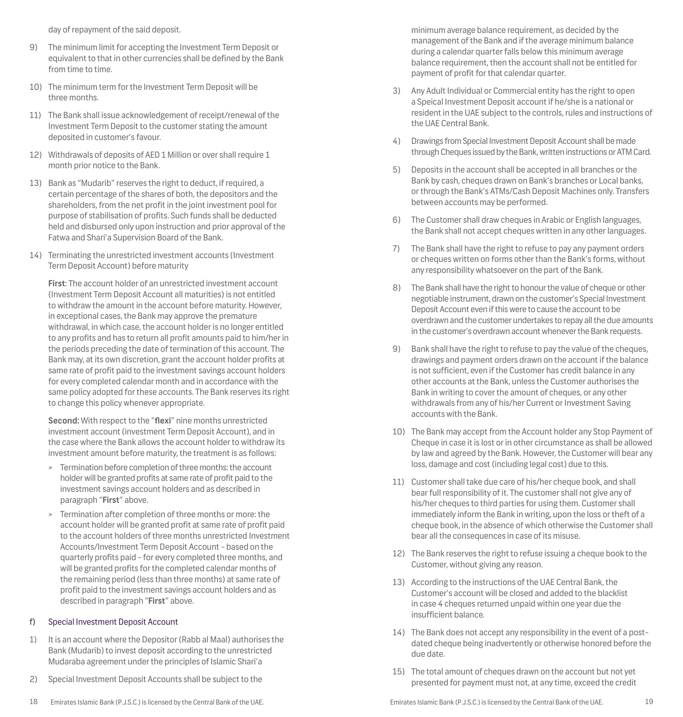day of repayment of the said deposit.

- 9) The minimum limit for accepting the Investment Term Deposit or equivalent to that in other currencies shall be defined by the Bank from time to time.
- 10) The minimum term for the Investment Term Deposit will be three months.
- 11) The Bank shall issue acknowledgement of receipt/renewal of the Investment Term Deposit to the customer stating the amount deposited in customer's favour.
- 12) Withdrawals of deposits of AED 1 Million or over shall require 1 month prior notice to the Bank.
- 13) Bank as "Mudarib" reserves the right to deduct, if required, a certain percentage of the shares of both, the depositors and the shareholders, from the net profit in the joint investment pool for purpose of stabilisation of profits. Such funds shall be deducted held and disbursed only upon instruction and prior approval of the Fatwa and Shari'a Supervision Board of the Bank.
- 14) Terminating the unrestricted investment accounts (Investment Term Deposit Account) before maturity

**First**: The account holder of an unrestricted investment account (Investment Term Deposit Account all maturities) is not entitled to withdraw the amount in the account before maturity. However, in exceptional cases, the Bank may approve the premature withdrawal, in which case, the account holder is no longer entitled to any profits and has to return all profit amounts paid to him/her in the periods preceding the date of termination of this account. The Bank may, at its own discretion, grant the account holder profits at same rate of profit paid to the investment savings account holders for every completed calendar month and in accordance with the same policy adopted for these accounts. The Bank reserves its right to change this policy whenever appropriate.

**Second:** With respect to the "**flexi**" nine months unrestricted investment account (investment Term Deposit Account), and in the case where the Bank allows the account holder to withdraw its investment amount before maturity, the treatment is as follows:

- > Termination before completion of three months: the account holder will be granted profits at same rate of profit paid to the investment savings account holders and as described in paragraph "**First**" above.
- > Termination after completion of three months or more: the account holder will be granted profit at same rate of profit paid to the account holders of three months unrestricted Investment Accounts/Investment Term Deposit Account - based on the quarterly profits paid - for every completed three months, and will be granted profits for the completed calendar months of the remaining period (less than three months) at same rate of profit paid to the investment savings account holders and as described in paragraph "**First**" above.

#### f) Special Investment Deposit Account

- 1) It is an account where the Depositor (Rabb al Maal) authorises the Bank (Mudarib) to invest deposit according to the unrestricted Mudaraba agreement under the principles of Islamic Shari'a
- 2) Special Investment Deposit Accounts shall be subject to the
- 18 19 Emirates Islamic Bank (P.J.S.C.) is licensed by the Central Bank of the UAE. Emirates Islamic Bank (P.J.S.C.) is licensed by the Central Bank of the UAE.

minimum average balance requirement, as decided by the management of the Bank and if the average minimum balance during a calendar quarter falls below this minimum average balance requirement, then the account shall not be entitled for payment of profit for that calendar quarter.

- 3) Any Adult Individual or Commercial entity has the right to open a Speical Investment Deposit account if he/she is a national or resident in the UAE subject to the controls, rules and instructions of the UAE Central Bank.
- 4) Drawings from Special Investment Deposit Account shall be made through Cheques issued by the Bank, written instructions or ATM Card.
- 5) Deposits in the account shall be accepted in all branches or the Bank by cash, cheques drawn on Bank's branches or Local banks, or through the Bank's ATMs/Cash Deposit Machines only. Transfers between accounts may be performed.
- 6) The Customer shall draw cheques in Arabic or English languages, the Bank shall not accept cheques written in any other languages.
- 7) The Bank shall have the right to refuse to pay any payment orders or cheques written on forms other than the Bank's forms, without any responsibility whatsoever on the part of the Bank.
- 8) The Bank shall have the right to honour the value of cheque or other negotiable instrument, drawn on the customer's Special Investment Deposit Account even if this were to cause the account to be overdrawn and the customer undertakes to repay all the due amounts in the customer's overdrawn account whenever the Bank requests.
- 9) Bank shall have the right to refuse to pay the value of the cheques, drawings and payment orders drawn on the account if the balance is not sufficient, even if the Customer has credit balance in any other accounts at the Bank, unless the Customer authorises the Bank in writing to cover the amount of cheques, or any other withdrawals from any of his/her Current or Investment Saving accounts with the Bank.
- 10) The Bank may accept from the Account holder any Stop Payment of Cheque in case it is lost or in other circumstance as shall be allowed by law and agreed by the Bank. However, the Customer will bear any loss, damage and cost (including legal cost) due to this.
- 11) Customer shall take due care of his/her cheque book, and shall bear full responsibility of it. The customer shall not give any of his/her cheques to third parties for using them. Customer shall immediately inform the Bank in writing, upon the loss or theft of a cheque book, in the absence of which otherwise the Customer shall bear all the consequences in case of its misuse.
- 12) The Bank reserves the right to refuse issuing a cheque book to the Customer, without giving any reason.
- 13) According to the instructions of the UAE Central Bank, the Customer's account will be closed and added to the blacklist in case 4 cheques returned unpaid within one year due the insufficient balance.
- 14) The Bank does not accept any responsibility in the event of a postdated cheque being inadvertently or otherwise honored before the due date.
- 15) The total amount of cheques drawn on the account but not yet presented for payment must not, at any time, exceed the credit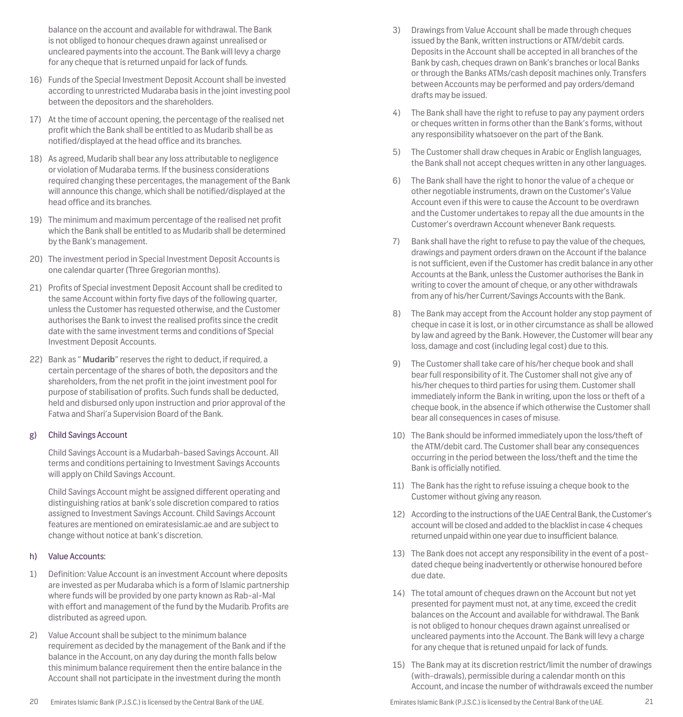balance on the account and available for withdrawal. The Bank is not obliged to honour cheques drawn against unrealised or uncleared payments into the account. The Bank will levy a charge for any cheque that is returned unpaid for lack of funds.

- 16) Funds of the Special Investment Deposit Account shall be invested according to unrestricted Mudaraba basis in the joint investing pool between the depositors and the shareholders.
- 17) At the time of account opening, the percentage of the realised net profit which the Bank shall be entitled to as Mudarib shall be as notified/displayed at the head office and its branches.
- 18) As agreed, Mudarib shall bear any loss attributable to negligence or violation of Mudaraba terms. If the business considerations required changing these percentages, the management of the Bank will announce this change, which shall be notified/displayed at the head office and its branches.
- 19) The minimum and maximum percentage of the realised net profit which the Bank shall be entitled to as Mudarib shall be determined by the Bank's management.
- 20) The investment period in Special Investment Deposit Accounts is one calendar quarter (Three Gregorian months).
- 21) Profits of Special investment Deposit Account shall be credited to the same Account within forty five days of the following quarter, unless the Customer has requested otherwise, and the Customer authorises the Bank to invest the realised profits since the credit date with the same investment terms and conditions of Special Investment Deposit Accounts.
- 22) Bank as " **Mudarib**" reserves the right to deduct, if required, a certain percentage of the shares of both, the depositors and the shareholders, from the net profit in the joint investment pool for purpose of stabilisation of profits. Such funds shall be deducted, held and disbursed only upon instruction and prior approval of the Fatwa and Shari'a Supervision Board of the Bank.

## g) Child Savings Account

Child Savings Account is a Mudarbah-based Savings Account. All terms and conditions pertaining to Investment Savings Accounts will apply on Child Savings Account.

Child Savings Account might be assigned different operating and distinguishing ratios at bank's sole discretion compared to ratios assigned to Investment Savings Account. Child Savings Account features are mentioned on emiratesislamic.ae and are subject to change without notice at bank's discretion.

## h) Value Accounts:

- 1) Definition: Value Account is an investment Account where deposits are invested as per Mudaraba which is a form of Islamic partnership where funds will be provided by one party known as Rab-al-Mal with effort and management of the fund by the Mudarib. Profits are distributed as agreed upon.
- 2) Value Account shall be subject to the minimum balance requirement as decided by the management of the Bank and if the balance in the Account, on any day during the month falls below this minimum balance requirement then the entire balance in the Account shall not participate in the investment during the month
- 3) Drawings from Value Account shall be made through cheques issued by the Bank, written instructions or ATM/debit cards. Deposits in the Account shall be accepted in all branches of the Bank by cash, cheques drawn on Bank's branches or local Banks or through the Banks ATMs/cash deposit machines only. Transfers between Accounts may be performed and pay orders/demand drafts may be issued.
- 4) The Bank shall have the right to refuse to pay any payment orders or cheques written in forms other than the Bank's forms, without any responsibility whatsoever on the part of the Bank.
- 5) The Customer shall draw cheques in Arabic or English languages, the Bank shall not accept cheques written in any other languages.
- 6) The Bank shall have the right to honor the value of a cheque or other negotiable instruments, drawn on the Customer's Value Account even if this were to cause the Account to be overdrawn and the Customer undertakes to repay all the due amounts in the Customer's overdrawn Account whenever Bank requests.
- 7) Bank shall have the right to refuse to pay the value of the cheques, drawings and payment orders drawn on the Account if the balance is not sufficient, even if the Customer has credit balance in any other Accounts at the Bank, unless the Customer authorises the Bank in writing to cover the amount of cheque, or any other withdrawals from any of his/her Current/Savings Accounts with the Bank.
- 8) The Bank may accept from the Account holder any stop payment of cheque in case it is lost, or in other circumstance as shall be allowed by law and agreed by the Bank. However, the Customer will bear any loss, damage and cost (including legal cost) due to this.
- 9) The Customer shall take care of his/her cheque book and shall bear full responsibility of it. The Customer shall not give any of his/her cheques to third parties for using them. Customer shall immediately inform the Bank in writing, upon the loss or theft of a cheque book, in the absence if which otherwise the Customer shall bear all consequences in cases of misuse.
- 10) The Bank should be informed immediately upon the loss/theft of the ATM/debit card. The Customer shall bear any consequences occurring in the period between the loss/theft and the time the Bank is officially notified.
- 11) The Bank has the right to refuse issuing a cheque book to the Customer without giving any reason.
- 12) According to the instructions of the UAE Central Bank, the Customer's account will be closed and added to the blacklist in case 4 cheques returned unpaid within one year due to insufficient balance.
- 13) The Bank does not accept any responsibility in the event of a postdated cheque being inadvertently or otherwise honoured before due date.
- 14) The total amount of cheques drawn on the Account but not yet presented for payment must not, at any time, exceed the credit balances on the Account and available for withdrawal. The Bank is not obliged to honour cheques drawn against unrealised or uncleared payments into the Account. The Bank will levy a charge for any cheque that is retuned unpaid for lack of funds.
- 15) The Bank may at its discretion restrict/limit the number of drawings (with-drawals), permissible during a calendar month on this Account, and incase the number of withdrawals exceed the number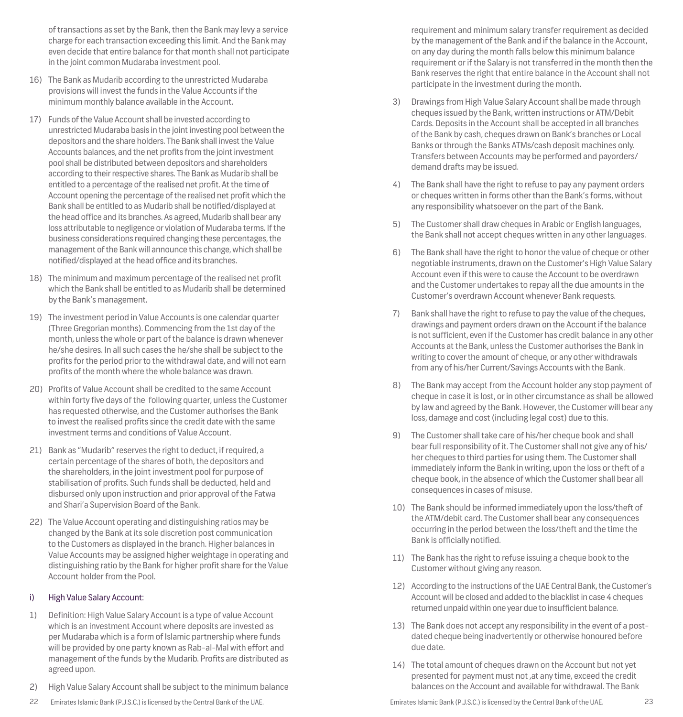of transactions as set by the Bank, then the Bank may levy a service charge for each transaction exceeding this limit. And the Bank may even decide that entire balance for that month shall not participate in the joint common Mudaraba investment pool.

- 16) The Bank as Mudarib according to the unrestricted Mudaraba provisions will invest the funds in the Value Accounts if the minimum monthly balance available in the Account.
- 17) Funds of the Value Account shall be invested according to unrestricted Mudaraba basis in the joint investing pool between the depositors and the share holders. The Bank shall invest the Value Accounts balances, and the net profits from the joint investment pool shall be distributed between depositors and shareholders according to their respective shares. The Bank as Mudarib shall be entitled to a percentage of the realised net profit. At the time of Account opening the percentage of the realised net profit which the Bank shall be entitled to as Mudarib shall be notified/displayed at the head office and its branches. As agreed, Mudarib shall bear any loss attributable to negligence or violation of Mudaraba terms. If the business considerations required changing these percentages, the management of the Bank will announce this change, which shall be notified/displayed at the head office and its branches.
- 18) The minimum and maximum percentage of the realised net profit which the Bank shall be entitled to as Mudarib shall be determined by the Bank's management.
- 19) The investment period in Value Accounts is one calendar quarter (Three Gregorian months). Commencing from the 1st day of the month, unless the whole or part of the balance is drawn whenever he/she desires. In all such cases the he/she shall be subject to the profits for the period prior to the withdrawal date, and will not earn profits of the month where the whole balance was drawn.
- 20) Profits of Value Account shall be credited to the same Account within forty five days of the following quarter, unless the Customer has requested otherwise, and the Customer authorises the Bank to invest the realised profits since the credit date with the same investment terms and conditions of Value Account.
- 21) Bank as "Mudarib" reserves the right to deduct, if required, a certain percentage of the shares of both, the depositors and the shareholders, in the joint investment pool for purpose of stabilisation of profits. Such funds shall be deducted, held and disbursed only upon instruction and prior approval of the Fatwa and Shari'a Supervision Board of the Bank.
- 22) The Value Account operating and distinguishing ratios may be changed by the Bank at its sole discretion post communication to the Customers as displayed in the branch. Higher balances in Value Accounts may be assigned higher weightage in operating and distinguishing ratio by the Bank for higher profit share for the Value Account holder from the Pool.

## i) High Value Salary Account:

- 1) Definition: High Value Salary Account is a type of value Account which is an investment Account where deposits are invested as per Mudaraba which is a form of Islamic partnership where funds will be provided by one party known as Rab-al-Mal with effort and management of the funds by the Mudarib. Profits are distributed as agreed upon.
- 2) High Value Salary Account shall be subject to the minimum balance
- 22 23 Emirates Islamic Bank (P.J.S.C.) is licensed by the Central Bank of the UAE. Emirates Islamic Bank (P.J.S.C.) is licensed by the Central Bank of the UAE.

requirement and minimum salary transfer requirement as decided by the management of the Bank and if the balance in the Account, on any day during the month falls below this minimum balance requirement or if the Salary is not transferred in the month then the Bank reserves the right that entire balance in the Account shall not participate in the investment during the month.

- 3) Drawings from High Value Salary Account shall be made through cheques issued by the Bank, written instructions or ATM/Debit Cards. Deposits in the Account shall be accepted in all branches of the Bank by cash, cheques drawn on Bank's branches or Local Banks or through the Banks ATMs/cash deposit machines only. Transfers between Accounts may be performed and payorders/ demand drafts may be issued.
- 4) The Bank shall have the right to refuse to pay any payment orders or cheques written in forms other than the Bank's forms, without any responsibility whatsoever on the part of the Bank.
- 5) The Customer shall draw cheques in Arabic or English languages, the Bank shall not accept cheques written in any other languages.
- 6) The Bank shall have the right to honor the value of cheque or other negotiable instruments, drawn on the Customer's High Value Salary Account even if this were to cause the Account to be overdrawn and the Customer undertakes to repay all the due amounts in the Customer's overdrawn Account whenever Bank requests.
- 7) Bank shall have the right to refuse to pay the value of the cheques, drawings and payment orders drawn on the Account if the balance is not sufficient, even if the Customer has credit balance in any other Accounts at the Bank, unless the Customer authorises the Bank in writing to cover the amount of cheque, or any other withdrawals from any of his/her Current/Savings Accounts with the Bank.
- 8) The Bank may accept from the Account holder any stop payment of cheque in case it is lost, or in other circumstance as shall be allowed by law and agreed by the Bank. However, the Customer will bear any loss, damage and cost (including legal cost) due to this.
- 9) The Customer shall take care of his/her cheque book and shall bear full responsibility of it. The Customer shall not give any of his/ her cheques to third parties for using them. The Customer shall immediately inform the Bank in writing, upon the loss or theft of a cheque book, in the absence of which the Customer shall bear all consequences in cases of misuse.
- 10) The Bank should be informed immediately upon the loss/theft of the ATM/debit card. The Customer shall bear any consequences occurring in the period between the loss/theft and the time the Bank is officially notified.
- 11) The Bank has the right to refuse issuing a cheque book to the Customer without giving any reason.
- 12) According to the instructions of the UAE Central Bank, the Customer's Account will be closed and added to the blacklist in case 4 cheques returned unpaid within one year due to insufficient balance.
- 13) The Bank does not accept any responsibility in the event of a postdated cheque being inadvertently or otherwise honoured before due date.
- 14) The total amount of cheques drawn on the Account but not yet presented for payment must not ,at any time, exceed the credit balances on the Account and available for withdrawal. The Bank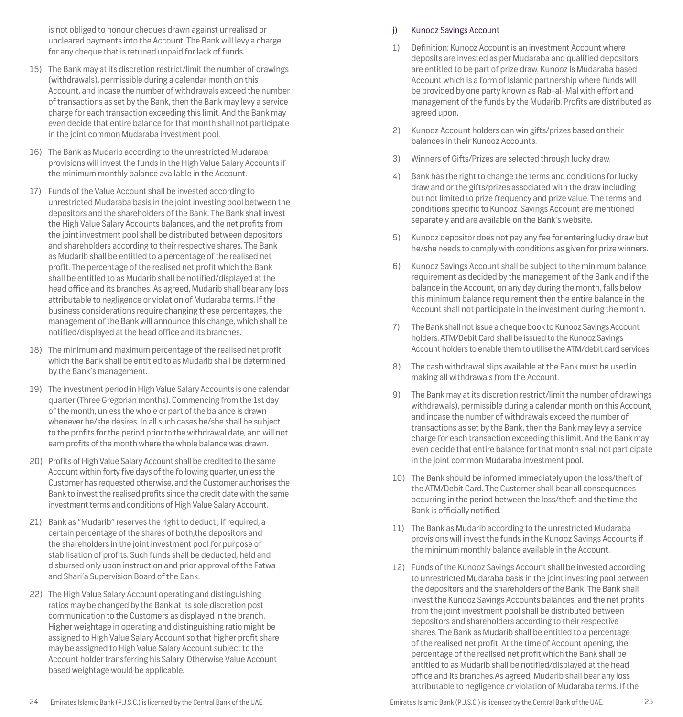is not obliged to honour cheques drawn against unrealised or uncleared payments into the Account. The Bank will levy a charge for any cheque that is retuned unpaid for lack of funds.

- 15) The Bank may at its discretion restrict/limit the number of drawings (withdrawals), permissible during a calendar month on this Account, and incase the number of withdrawals exceed the number of transactions as set by the Bank, then the Bank may levy a service charge for each transaction exceeding this limit. And the Bank may even decide that entire balance for that month shall not participate in the joint common Mudaraba investment pool.
- 16) The Bank as Mudarib according to the unrestricted Mudaraba provisions will invest the funds in the High Value Salary Accounts if the minimum monthly balance available in the Account.
- 17) Funds of the Value Account shall be invested according to unrestricted Mudaraba basis in the joint investing pool between the depositors and the shareholders of the Bank. The Bank shall invest the High Value Salary Accounts balances, and the net profits from the joint investment pool shall be distributed between depositors and shareholders according to their respective shares. The Bank as Mudarib shall be entitled to a percentage of the realised net profit. The percentage of the realised net profit which the Bank shall be entitled to as Mudarib shall be notified/displayed at the head office and its branches. As agreed, Mudarib shall bear any loss attributable to negligence or violation of Mudaraba terms. If the business considerations require changing these percentages, the management of the Bank will announce this change, which shall be notified/displayed at the head office and its branches.
- 18) The minimum and maximum percentage of the realised net profit which the Bank shall be entitled to as Mudarib shall be determined by the Bank's management.
- 19) The investment period in High Value Salary Accounts is one calendar quarter (Three Gregorian months). Commencing from the 1st day of the month, unless the whole or part of the balance is drawn whenever he/she desires. In all such cases he/she shall be subject to the profits for the period prior to the withdrawal date, and will not earn profits of the month where the whole balance was drawn.
- 20) Profits of High Value Salary Account shall be credited to the same Account within forty five days of the following quarter, unless the Customer has requested otherwise, and the Customer authorises the Bank to invest the realised profits since the credit date with the same investment terms and conditions of High Value Salary Account.
- 21) Bank as "Mudarib" reserves the right to deduct , if required, a certain percentage of the shares of both,the depositors and the shareholders in the joint investment pool for purpose of stabilisation of profits. Such funds shall be deducted, held and disbursed only upon instruction and prior approval of the Fatwa and Shari'a Supervision Board of the Bank.
- 22) The High Value Salary Account operating and distinguishing ratios may be changed by the Bank at its sole discretion post communication to the Customers as displayed in the branch. Higher weightage in operating and distinguishing ratio might be assigned to High Value Salary Account so that higher profit share may be assigned to High Value Salary Account subject to the Account holder transferring his Salary. Otherwise Value Account based weightage would be applicable.

## j) Kunooz Savings Account

- 1) Definition: Kunooz Account is an investment Account where deposits are invested as per Mudaraba and qualified depositors are entitled to be part of prize draw. Kunooz is Mudaraba based Account which is a form of Islamic partnership where funds will be provided by one party known as Rab-al-Mal with effort and management of the funds by the Mudarib. Profits are distributed as agreed upon.
- 2) Kunooz Account holders can win gifts/prizes based on their balances in their Kunooz Accounts.
- 3) Winners of Gifts/Prizes are selected through lucky draw.
- 4) Bank has the right to change the terms and conditions for lucky draw and or the gifts/prizes associated with the draw including but not limited to prize frequency and prize value. The terms and conditions specific to Kunooz Savings Account are mentioned separately and are available on the Bank's website.
- 5) Kunooz depositor does not pay any fee for entering lucky draw but he/she needs to comply with conditions as given for prize winners.
- 6) Kunooz Savings Account shall be subject to the minimum balance requirement as decided by the management of the Bank and if the balance in the Account, on any day during the month, falls below this minimum balance requirement then the entire balance in the Account shall not participate in the investment during the month.
- 7) The Bank shall not issue a cheque book to Kunooz Savings Account holders. ATM/Debit Card shall be issued to the Kunooz Savings Account holders to enable them to utilise the ATM/debit card services.
- 8) The cash withdrawal slips available at the Bank must be used in making all withdrawals from the Account.
- 9) The Bank may at its discretion restrict/limit the number of drawings withdrawals), permissible during a calendar month on this Account, and incase the number of withdrawals exceed the number of transactions as set by the Bank, then the Bank may levy a service charge for each transaction exceeding this limit. And the Bank may even decide that entire balance for that month shall not participate in the joint common Mudaraba investment pool.
- 10) The Bank should be informed immediately upon the loss/theft of the ATM/Debit Card. The Customer shall bear all consequences occurring in the period between the loss/theft and the time the Bank is officially notified.
- 11) The Bank as Mudarib according to the unrestricted Mudaraba provisions will invest the funds in the Kunooz Savings Accounts if the minimum monthly balance available in the Account.
- 12) Funds of the Kunooz Savings Account shall be invested according to unrestricted Mudaraba basis in the joint investing pool between the depositors and the shareholders of the Bank. The Bank shall invest the Kunooz Savings Accounts balances, and the net profits from the joint investment pool shall be distributed between depositors and shareholders according to their respective shares. The Bank as Mudarib shall be entitled to a percentage of the realised net profit. At the time of Account opening, the percentage of the realised net profit which the Bank shall be entitled to as Mudarib shall be notified/displayed at the head office and its branches.As agreed, Mudarib shall bear any loss attributable to negligence or violation of Mudaraba terms. If the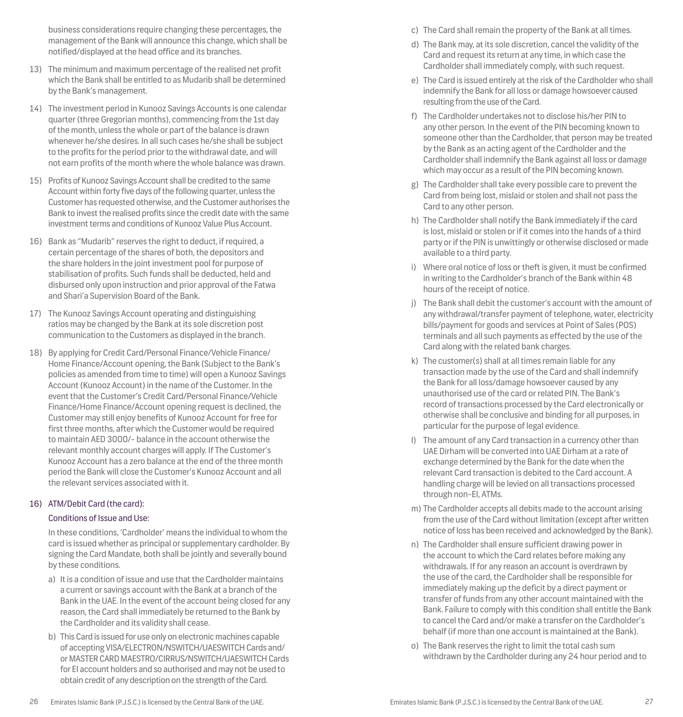business considerations require changing these percentages, the management of the Bank will announce this change, which shall be notified/displayed at the head office and its branches.

- 13) The minimum and maximum percentage of the realised net profit which the Bank shall be entitled to as Mudarib shall be determined by the Bank's management.
- 14) The investment period in Kunooz Savings Accounts is one calendar quarter (three Gregorian months), commencing from the 1st day of the month, unless the whole or part of the balance is drawn whenever he/she desires. In all such cases he/she shall be subject to the profits for the period prior to the withdrawal date, and will not earn profits of the month where the whole balance was drawn.
- 15) Profits of Kunooz Savings Account shall be credited to the same Account within forty five days of the following quarter, unless the Customer has requested otherwise, and the Customer authorises the Bank to invest the realised profits since the credit date with the same investment terms and conditions of Kunooz Value Plus Account.
- 16) Bank as "Mudarib" reserves the right to deduct, if required, a certain percentage of the shares of both, the depositors and the share holders in the joint investment pool for purpose of stabilisation of profits. Such funds shall be deducted, held and disbursed only upon instruction and prior approval of the Fatwa and Shari'a Supervision Board of the Bank.
- 17) The Kunooz Savings Account operating and distinguishing ratios may be changed by the Bank at its sole discretion post communication to the Customers as displayed in the branch.
- 18) By applying for Credit Card/Personal Finance/Vehicle Finance/ Home Finance/Account opening, the Bank (Subject to the Bank's policies as amended from time to time) will open a Kunooz Savings Account (Kunooz Account) in the name of the Customer. In the event that the Customer's Credit Card/Personal Finance/Vehicle Finance/Home Finance/Account opening request is declined, the Customer may still enjoy benefits of Kunooz Account for free for first three months, after which the Customer would be required to maintain AED 3000/- balance in the account otherwise the relevant monthly account charges will apply. If The Customer's Kunooz Account has a zero balance at the end of the three month period the Bank will close the Customer's Kunooz Account and all the relevant services associated with it.

## 16) ATM/Debit Card (the card):

## Conditions of Issue and Use:

In these conditions, 'Cardholder' means the individual to whom the card is issued whether as principal or supplementary cardholder. By signing the Card Mandate, both shall be jointly and severally bound by these conditions.

- a) It is a condition of issue and use that the Cardholder maintains a current or savings account with the Bank at a branch of the Bank in the UAE. In the event of the account being closed for any reason, the Card shall immediately be returned to the Bank by the Cardholder and its validity shall cease.
- b) This Card is issued for use only on electronic machines capable of accepting VISA/ELECTRON/NSWITCH/UAESWITCH Cards and/ or MASTER CARD MAESTRO/CIRRUS/NSWITCH/UAESWITCH Cards for EI account holders and so authorised and may not be used to obtain credit of any description on the strength of the Card.
- c) The Card shall remain the property of the Bank at all times.
- d) The Bank may, at its sole discretion, cancel the validity of the Card and request its return at any time, in which case the Cardholder shall immediately comply, with such request.
- e) The Card is issued entirely at the risk of the Cardholder who shall indemnify the Bank for all loss or damage howsoever caused resulting from the use of the Card.
- f) The Cardholder undertakes not to disclose his/her PIN to any other person. In the event of the PIN becoming known to someone other than the Cardholder, that person may be treated by the Bank as an acting agent of the Cardholder and the Cardholder shall indemnify the Bank against all loss or damage which may occur as a result of the PIN becoming known.
- g) The Cardholder shall take every possible care to prevent the Card from being lost, mislaid or stolen and shall not pass the Card to any other person.
- h) The Cardholder shall notify the Bank immediately if the card is lost, mislaid or stolen or if it comes into the hands of a third party or if the PIN is unwittingly or otherwise disclosed or made available to a third party.
- i) Where oral notice of loss or theft is given, it must be confirmed in writing to the Cardholder's branch of the Bank within 48 hours of the receipt of notice.
- j) The Bank shall debit the customer's account with the amount of any withdrawal/transfer payment of telephone, water, electricity bills/payment for goods and services at Point of Sales (POS) terminals and all such payments as effected by the use of the Card along with the related bank charges.
- k) The customer(s) shall at all times remain liable for any transaction made by the use of the Card and shall indemnify the Bank for all loss/damage howsoever caused by any unauthorised use of the card or related PIN. The Bank's record of transactions processed by the Card electronically or otherwise shall be conclusive and binding for all purposes, in particular for the purpose of legal evidence.
- l) The amount of any Card transaction in a currency other than UAE Dirham will be converted into UAE Dirham at a rate of exchange determined by the Bank for the date when the relevant Card transaction is debited to the Card account. A handling charge will be levied on all transactions processed through non-EI, ATMs.
- m) The Cardholder accepts all debits made to the account arising from the use of the Card without limitation (except after written notice of loss has been received and acknowledged by the Bank).
- n) The Cardholder shall ensure sufficient drawing power in the account to which the Card relates before making any withdrawals. If for any reason an account is overdrawn by the use of the card, the Cardholder shall be responsible for immediately making up the deficit by a direct payment or transfer of funds from any other account maintained with the Bank. Failure to comply with this condition shall entitle the Bank to cancel the Card and/or make a transfer on the Cardholder's behalf (if more than one account is maintained at the Bank).
- o) The Bank reserves the right to limit the total cash sum withdrawn by the Cardholder during any 24 hour period and to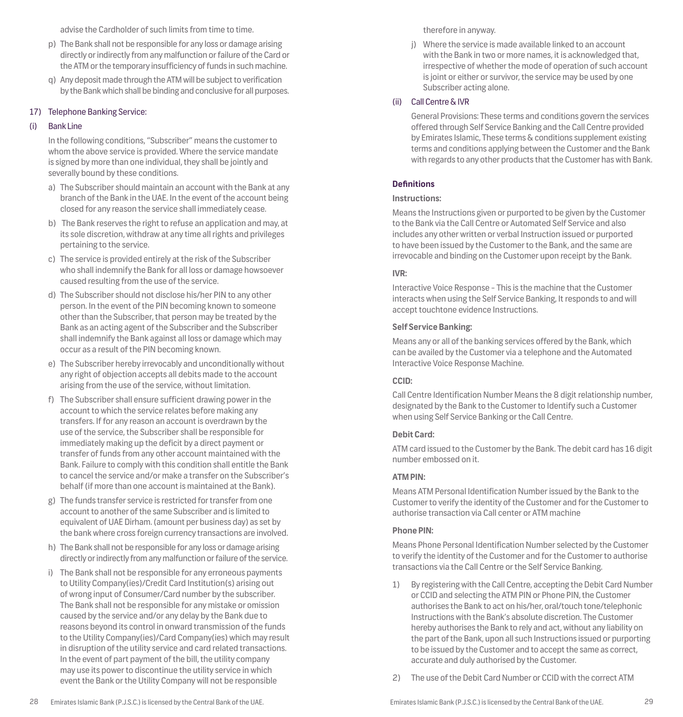advise the Cardholder of such limits from time to time.

- p) The Bank shall not be responsible for any loss or damage arising directly or indirectly from any malfunction or failure of the Card or the ATM or the temporary insufficiency of funds in such machine.
- q) Any deposit made through the ATM will be subject to verification by the Bank which shall be binding and conclusive for all purposes.

## 17) Telephone Banking Service:

## (i) Bank Line

In the following conditions, "Subscriber" means the customer to whom the above service is provided. Where the service mandate is signed by more than one individual, they shall be jointly and severally bound by these conditions.

- a) The Subscriber should maintain an account with the Bank at any branch of the Bank in the UAE. In the event of the account being closed for any reason the service shall immediately cease.
- b) The Bank reserves the right to refuse an application and may, at its sole discretion, withdraw at any time all rights and privileges pertaining to the service.
- c) The service is provided entirely at the risk of the Subscriber who shall indemnify the Bank for all loss or damage howsoever caused resulting from the use of the service.
- d) The Subscriber should not disclose his/her PIN to any other person. In the event of the PIN becoming known to someone other than the Subscriber, that person may be treated by the Bank as an acting agent of the Subscriber and the Subscriber shall indemnify the Bank against all loss or damage which may occur as a result of the PIN becoming known.
- e) The Subscriber hereby irrevocably and unconditionally without any right of objection accepts all debits made to the account arising from the use of the service, without limitation.
- f) The Subscriber shall ensure sufficient drawing power in the account to which the service relates before making any transfers. If for any reason an account is overdrawn by the use of the service, the Subscriber shall be responsible for immediately making up the deficit by a direct payment or transfer of funds from any other account maintained with the Bank. Failure to comply with this condition shall entitle the Bank to cancel the service and/or make a transfer on the Subscriber's behalf (if more than one account is maintained at the Bank).
- g) The funds transfer service is restricted for transfer from one account to another of the same Subscriber and is limited to equivalent of UAE Dirham. (amount per business day) as set by the bank where cross foreign currency transactions are involved.
- h) The Bank shall not be responsible for any loss or damage arising directly or indirectly from any malfunction or failure of the service.
- i) The Bank shall not be responsible for any erroneous payments to Utility Company(ies)/Credit Card Institution(s) arising out of wrong input of Consumer/Card number by the subscriber. The Bank shall not be responsible for any mistake or omission caused by the service and/or any delay by the Bank due to reasons beyond its control in onward transmission of the funds to the Utility Company(ies)/Card Company(ies) which may result in disruption of the utility service and card related transactions. In the event of part payment of the bill, the utility company may use its power to discontinue the utility service in which event the Bank or the Utility Company will not be responsible

therefore in anyway.

j) Where the service is made available linked to an account with the Bank in two or more names, it is acknowledged that, irrespective of whether the mode of operation of such account is joint or either or survivor, the service may be used by one Subscriber acting alone.

## (ii) Call Centre & IVR

General Provisions: These terms and conditions govern the services offered through Self Service Banking and the Call Centre provided by Emirates Islamic, These terms & conditions supplement existing terms and conditions applying between the Customer and the Bank with regards to any other products that the Customer has with Bank.

## **Definitions**

#### **Instructions:**

Means the Instructions given or purported to be given by the Customer to the Bank via the Call Centre or Automated Self Service and also includes any other written or verbal Instruction issued or purported to have been issued by the Customer to the Bank, and the same are irrevocable and binding on the Customer upon receipt by the Bank.

## **IVR:**

Interactive Voice Response - This is the machine that the Customer interacts when using the Self Service Banking, It responds to and will accept touchtone evidence Instructions.

## **Self Service Banking:**

Means any or all of the banking services offered by the Bank, which can be availed by the Customer via a telephone and the Automated Interactive Voice Response Machine.

## **CCID:**

Call Centre Identification Number Means the 8 digit relationship number, designated by the Bank to the Customer to Identify such a Customer when using Self Service Banking or the Call Centre.

## **Debit Card:**

ATM card issued to the Customer by the Bank. The debit card has 16 digit number embossed on it.

## **ATM PIN:**

Means ATM Personal Identification Number issued by the Bank to the Customer to verify the identity of the Customer and for the Customer to authorise transaction via Call center or ATM machine

## **Phone PIN:**

Means Phone Personal Identification Number selected by the Customer to verify the identity of the Customer and for the Customer to authorise transactions via the Call Centre or the Self Service Banking.

- 1) By registering with the Call Centre, accepting the Debit Card Number or CCID and selecting the ATM PIN or Phone PIN, the Customer authorises the Bank to act on his/her, oral/touch tone/telephonic Instructions with the Bank's absolute discretion. The Customer hereby authorises the Bank to rely and act, without any liability on the part of the Bank, upon all such Instructions issued or purporting to be issued by the Customer and to accept the same as correct, accurate and duly authorised by the Customer.
- 2) The use of the Debit Card Number or CCID with the correct ATM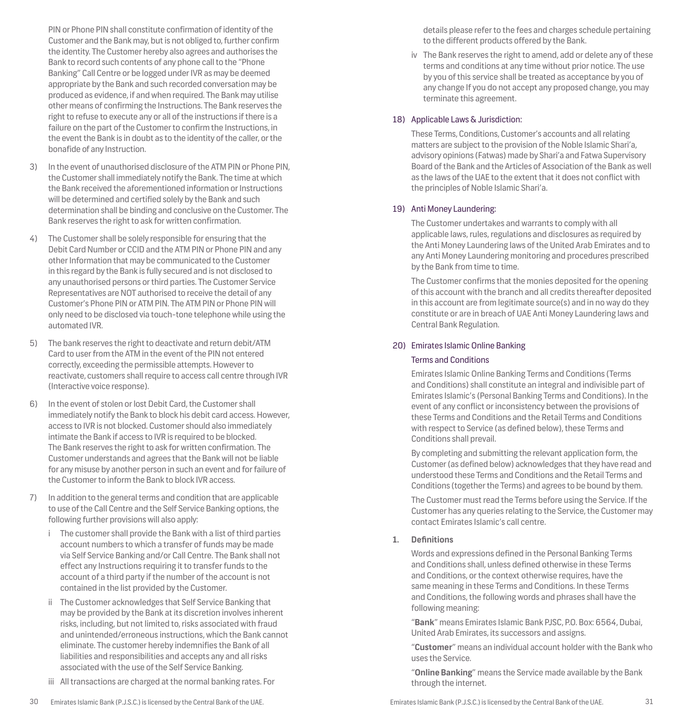PIN or Phone PIN shall constitute confirmation of identity of the Customer and the Bank may, but is not obliged to, further confirm the identity. The Customer hereby also agrees and authorises the Bank to record such contents of any phone call to the "Phone Banking" Call Centre or be logged under IVR as may be deemed appropriate by the Bank and such recorded conversation may be produced as evidence, if and when required. The Bank may utilise other means of confirming the Instructions. The Bank reserves the right to refuse to execute any or all of the instructions if there is a failure on the part of the Customer to confirm the Instructions, in the event the Bank is in doubt as to the identity of the caller, or the bonafide of any Instruction.

- 3) In the event of unauthorised disclosure of the ATM PIN or Phone PIN, the Customer shall immediately notify the Bank. The time at which the Bank received the aforementioned information or Instructions will be determined and certified solely by the Bank and such determination shall be binding and conclusive on the Customer. The Bank reserves the right to ask for written confirmation.
- 4) The Customer shall be solely responsible for ensuring that the Debit Card Number or CCID and the ATM PIN or Phone PIN and any other Information that may be communicated to the Customer in this regard by the Bank is fully secured and is not disclosed to any unauthorised persons or third parties. The Customer Service Representatives are NOT authorised to receive the detail of any Customer's Phone PIN or ATM PIN. The ATM PIN or Phone PIN will only need to be disclosed via touch-tone telephone while using the automated IVR.
- 5) The bank reserves the right to deactivate and return debit/ATM Card to user from the ATM in the event of the PIN not entered correctly, exceeding the permissible attempts. However to reactivate, customers shall require to access call centre through IVR (Interactive voice response).
- In the event of stolen or lost Debit Card, the Customer shall immediately notify the Bank to block his debit card access. However, access to IVR is not blocked. Customer should also immediately intimate the Bank if access to IVR is required to be blocked. The Bank reserves the right to ask for written confirmation. The Customer understands and agrees that the Bank will not be liable for any misuse by another person in such an event and for failure of the Customer to inform the Bank to block IVR access.
- 7) In addition to the general terms and condition that are applicable to use of the Call Centre and the Self Service Banking options, the following further provisions will also apply:
	- i The customer shall provide the Bank with a list of third parties account numbers to which a transfer of funds may be made via Self Service Banking and/or Call Centre. The Bank shall not effect any Instructions requiring it to transfer funds to the account of a third party if the number of the account is not contained in the list provided by the Customer.
	- ii The Customer acknowledges that Self Service Banking that may be provided by the Bank at its discretion involves inherent risks, including, but not limited to, risks associated with fraud and unintended/erroneous instructions, which the Bank cannot eliminate. The customer hereby indemnifies the Bank of all liabilities and responsibilities and accepts any and all risks associated with the use of the Self Service Banking.
	- iii All transactions are charged at the normal banking rates. For

details please refer to the fees and charges schedule pertaining to the different products offered by the Bank.

iv The Bank reserves the right to amend, add or delete any of these terms and conditions at any time without prior notice. The use by you of this service shall be treated as acceptance by you of any change If you do not accept any proposed change, you may terminate this agreement.

# 18) Applicable Laws & Jurisdiction:

These Terms, Conditions, Customer's accounts and all relating matters are subject to the provision of the Noble Islamic Shari'a, advisory opinions (Fatwas) made by Shari'a and Fatwa Supervisory Board of the Bank and the Articles of Association of the Bank as well as the laws of the UAE to the extent that it does not conflict with the principles of Noble Islamic Shari'a.

## 19) Anti Money Laundering:

The Customer undertakes and warrants to comply with all applicable laws, rules, regulations and disclosures as required by the Anti Money Laundering laws of the United Arab Emirates and to any Anti Money Laundering monitoring and procedures prescribed by the Bank from time to time.

The Customer confirms that the monies deposited for the opening of this account with the branch and all credits thereafter deposited in this account are from legitimate source(s) and in no way do they constitute or are in breach of UAE Anti Money Laundering laws and Central Bank Regulation.

## 20) Emirates Islamic Online Banking

## Terms and Conditions

Emirates Islamic Online Banking Terms and Conditions (Terms and Conditions) shall constitute an integral and indivisible part of Emirates Islamic's (Personal Banking Terms and Conditions). In the event of any conflict or inconsistency between the provisions of these Terms and Conditions and the Retail Terms and Conditions with respect to Service (as defined below), these Terms and Conditions shall prevail.

By completing and submitting the relevant application form, the Customer (as defined below) acknowledges that they have read and understood these Terms and Conditions and the Retail Terms and Conditions (together the Terms) and agrees to be bound by them.

The Customer must read the Terms before using the Service. If the Customer has any queries relating to the Service, the Customer may contact Emirates Islamic's call centre.

# **1. Definitions**

Words and expressions defined in the Personal Banking Terms and Conditions shall, unless defined otherwise in these Terms and Conditions, or the context otherwise requires, have the same meaning in these Terms and Conditions. In these Terms and Conditions, the following words and phrases shall have the following meaning:

"**Bank**" means Emirates Islamic Bank PJSC, P.O. Box: 6564, Dubai, United Arab Emirates, its successors and assigns.

"**Customer**" means an individual account holder with the Bank who uses the Service.

"**Online Banking**" means the Service made available by the Bank through the internet.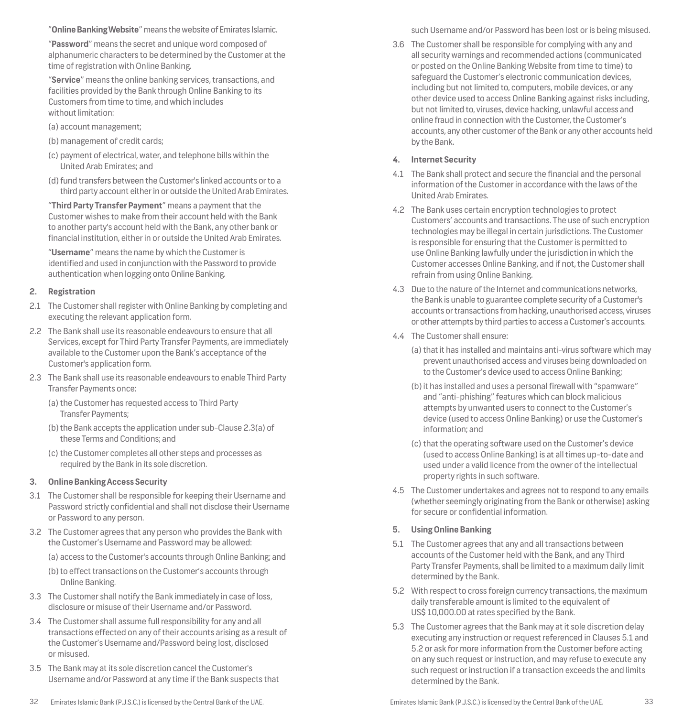"**Online Banking Website**" means the website of Emirates Islamic.

"**Password**" means the secret and unique word composed of alphanumeric characters to be determined by the Customer at the time of registration with Online Banking.

"**Service**" means the online banking services, transactions, and facilities provided by the Bank through Online Banking to its Customers from time to time, and which includes without limitation:

- (a) account management;
- (b) management of credit cards;
- (c) payment of electrical, water, and telephone bills within the United Arab Emirates; and
- (d)fund transfers between the Customer's linked accounts or to a third party account either in or outside the United Arab Emirates.

"**Third Party Transfer Payment**" means a payment that the Customer wishes to make from their account held with the Bank to another party's account held with the Bank, any other bank or financial institution, either in or outside the United Arab Emirates.

"**Username**" means the name by which the Customer is identified and used in conjunction with the Password to provide authentication when logging onto Online Banking.

## **2. Registration**

- 2.1 The Customer shall register with Online Banking by completing and executing the relevant application form.
- 2.2 The Bank shall use its reasonable endeavours to ensure that all Services, except for Third Party Transfer Payments, are immediately available to the Customer upon the Bank's acceptance of the Customer's application form.
- 2.3 The Bank shall use its reasonable endeavours to enable Third Party Transfer Payments once:
	- (a) the Customer has requested access to Third Party Transfer Payments;
	- (b)the Bank accepts the application under sub-Clause 2.3(a) of these Terms and Conditions; and
	- (c) the Customer completes all other steps and processes as required by the Bank in its sole discretion.

## **3. Online Banking Access Security**

- 3.1 The Customer shall be responsible for keeping their Username and Password strictly confidential and shall not disclose their Username or Password to any person.
- 3.2 The Customer agrees that any person who provides the Bank with the Customer's Username and Password may be allowed:
	- (a) access to the Customer's accounts through Online Banking; and
	- (b) to effect transactions on the Customer's accounts through Online Banking.
- 3.3 The Customer shall notify the Bank immediately in case of loss, disclosure or misuse of their Username and/or Password.
- 3.4 The Customer shall assume full responsibility for any and all transactions effected on any of their accounts arising as a result of the Customer's Username and/Password being lost, disclosed or misused.
- 3.5 The Bank may at its sole discretion cancel the Customer's Username and/or Password at any time if the Bank suspects that

such Username and/or Password has been lost or is being misused.

3.6 The Customer shall be responsible for complying with any and all security warnings and recommended actions (communicated or posted on the Online Banking Website from time to time) to safeguard the Customer's electronic communication devices, including but not limited to, computers, mobile devices, or any other device used to access Online Banking against risks including, but not limited to, viruses, device hacking, unlawful access and online fraud in connection with the Customer, the Customer's accounts, any other customer of the Bank or any other accounts held by the Bank.

## **4. Internet Security**

- 4.1 The Bank shall protect and secure the financial and the personal information of the Customer in accordance with the laws of the United Arab Emirates.
- 4.2 The Bank uses certain encryption technologies to protect Customers' accounts and transactions. The use of such encryption technologies may be illegal in certain jurisdictions. The Customer is responsible for ensuring that the Customer is permitted to use Online Banking lawfully under the jurisdiction in which the Customer accesses Online Banking, and if not, the Customer shall refrain from using Online Banking.
- 4.3 Due to the nature of the Internet and communications networks, the Bank is unable to guarantee complete security of a Customer's accounts or transactions from hacking, unauthorised access, viruses or other attempts by third parties to access a Customer's accounts.
- 4.4 The Customer shall ensure:
	- (a) that it has installed and maintains anti-virus software which may prevent unauthorised access and viruses being downloaded on to the Customer's device used to access Online Banking;
	- (b)it has installed and uses a personal firewall with "spamware" and "anti-phishing" features which can block malicious attempts by unwanted users to connect to the Customer's device (used to access Online Banking) or use the Customer's information; and
	- (c) that the operating software used on the Customer's device (used to access Online Banking) is at all times up-to-date and used under a valid licence from the owner of the intellectual property rights in such software.
- 4.5 The Customer undertakes and agrees not to respond to any emails (whether seemingly originating from the Bank or otherwise) asking for secure or confidential information.

## **5. Using Online Banking**

- 5.1 The Customer agrees that any and all transactions between accounts of the Customer held with the Bank, and any Third Party Transfer Payments, shall be limited to a maximum daily limit determined by the Bank.
- 5.2 With respect to cross foreign currency transactions, the maximum daily transferable amount is limited to the equivalent of US\$ 10,000.00 at rates specified by the Bank.
- 5.3 The Customer agrees that the Bank may at it sole discretion delay executing any instruction or request referenced in Clauses 5.1 and 5.2 or ask for more information from the Customer before acting on any such request or instruction, and may refuse to execute any such request or instruction if a transaction exceeds the and limits determined by the Bank.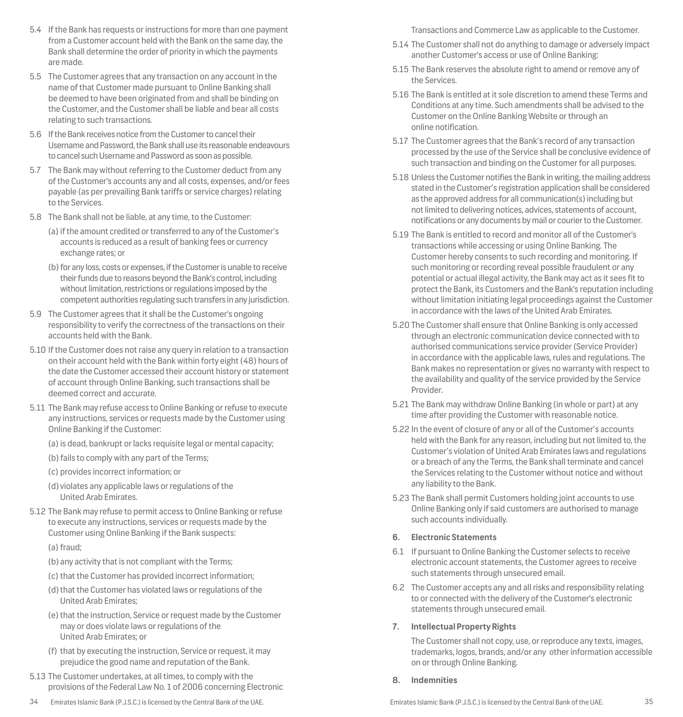- 5.4 If the Bank has requests or instructions for more than one payment from a Customer account held with the Bank on the same day, the Bank shall determine the order of priority in which the payments are made.
- 5.5 The Customer agrees that any transaction on any account in the name of that Customer made pursuant to Online Banking shall be deemed to have been originated from and shall be binding on the Customer, and the Customer shall be liable and bear all costs relating to such transactions.
- 5.6 If the Bank receives notice from the Customer to cancel their Username and Password, the Bank shall use its reasonable endeavours to cancel such Username and Password as soon as possible.
- 5.7 The Bank may without referring to the Customer deduct from any of the Customer's accounts any and all costs, expenses, and/or fees payable (as per prevailing Bank tariffs or service charges) relating to the Services.
- 5.8 The Bank shall not be liable, at any time, to the Customer:
	- (a) if the amount credited or transferred to any of the Customer's accounts is reduced as a result of banking fees or currency exchange rates; or
	- (b) for any loss, costs or expenses, if the Customer is unable to receive their funds due to reasons beyond the Bank's control, including without limitation, restrictions or regulations imposed by the competent authorities regulating such transfers in any jurisdiction.
- 5.9 The Customer agrees that it shall be the Customer's ongoing responsibility to verify the correctness of the transactions on their accounts held with the Bank.
- 5.10 If the Customer does not raise any query in relation to a transaction on their account held with the Bank within forty eight (48) hours of the date the Customer accessed their account history or statement of account through Online Banking, such transactions shall be deemed correct and accurate.
- 5.11 The Bank may refuse access to Online Banking or refuse to execute any instructions, services or requests made by the Customer using Online Banking if the Customer:
	- (a) is dead, bankrupt or lacks requisite legal or mental capacity;
	- (b) fails to comply with any part of the Terms;
	- (c) provides incorrect information; or
	- (d) violates any applicable laws or regulations of the United Arab Emirates.
- 5.12 The Bank may refuse to permit access to Online Banking or refuse to execute any instructions, services or requests made by the Customer using Online Banking if the Bank suspects:
	- (a) fraud;
	- (b) any activity that is not compliant with the Terms;
	- (c) that the Customer has provided incorrect information;
	- (d) that the Customer has violated laws or regulations of the United Arab Emirates;
	- (e) that the instruction, Service or request made by the Customer may or does violate laws or regulations of the United Arab Emirates; or
	- (f) that by executing the instruction, Service or request, it may prejudice the good name and reputation of the Bank.
- 5.13 The Customer undertakes, at all times, to comply with the provisions of the Federal Law No. 1 of 2006 concerning Electronic
- 

Transactions and Commerce Law as applicable to the Customer.

- 5.14 The Customer shall not do anything to damage or adversely impact another Customer's access or use of Online Banking:
- 5.15 The Bank reserves the absolute right to amend or remove any of the Services.
- 5.16 The Bank is entitled at it sole discretion to amend these Terms and Conditions at any time. Such amendments shall be advised to the Customer on the Online Banking Website or through an online notification.
- 5.17 The Customer agrees that the Bank's record of any transaction processed by the use of the Service shall be conclusive evidence of such transaction and binding on the Customer for all purposes.
- 5.18 Unless the Customer notifies the Bank in writing, the mailing address stated in the Customer's registration application shall be considered as the approved address for all communication(s) including but not limited to delivering notices, advices, statements of account, notifications or any documents by mail or courier to the Customer.
- 5.19 The Bank is entitled to record and monitor all of the Customer's transactions while accessing or using Online Banking. The Customer hereby consents to such recording and monitoring. If such monitoring or recording reveal possible fraudulent or any potential or actual illegal activity, the Bank may act as it sees fit to protect the Bank, its Customers and the Bank's reputation including without limitation initiating legal proceedings against the Customer in accordance with the laws of the United Arab Emirates.
- 5.20 The Customer shall ensure that Online Banking is only accessed through an electronic communication device connected with to authorised communications service provider (Service Provider) in accordance with the applicable laws, rules and regulations. The Bank makes no representation or gives no warranty with respect to the availability and quality of the service provided by the Service Provider.
- 5.21 The Bank may withdraw Online Banking (in whole or part) at any time after providing the Customer with reasonable notice.
- 5.22 In the event of closure of any or all of the Customer's accounts held with the Bank for any reason, including but not limited to, the Customer's violation of United Arab Emirates laws and regulations or a breach of any the Terms, the Bank shall terminate and cancel the Services relating to the Customer without notice and without any liability to the Bank.
- 5.23 The Bank shall permit Customers holding joint accounts to use Online Banking only if said customers are authorised to manage such accounts individually.

# **6. Electronic Statements**

- 6.1 If pursuant to Online Banking the Customer selects to receive electronic account statements, the Customer agrees to receive such statements through unsecured email.
- 6.2 The Customer accepts any and all risks and responsibility relating to or connected with the delivery of the Customer's electronic statements through unsecured email.

# **7. Intellectual Property Rights**

The Customer shall not copy, use, or reproduce any texts, images, trademarks, logos, brands, and/or any other information accessible on or through Online Banking.

# **8. Indemnities**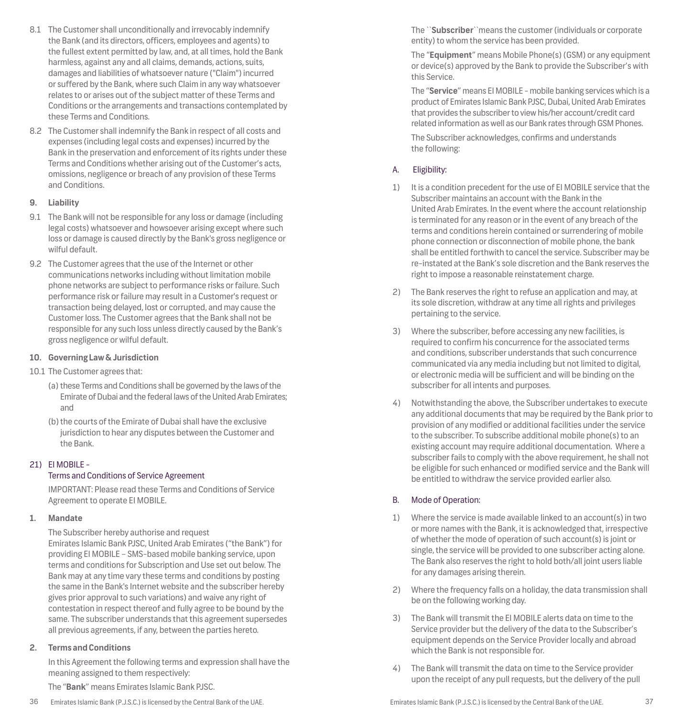- 8.1 The Customer shall unconditionally and irrevocably indemnify the Bank (and its directors, officers, employees and agents) to the fullest extent permitted by law, and, at all times, hold the Bank harmless, against any and all claims, demands, actions, suits, damages and liabilities of whatsoever nature ("Claim") incurred or suffered by the Bank, where such Claim in any way whatsoever relates to or arises out of the subject matter of these Terms and Conditions or the arrangements and transactions contemplated by these Terms and Conditions.
- 8.2 The Customer shall indemnify the Bank in respect of all costs and expenses (including legal costs and expenses) incurred by the Bank in the preservation and enforcement of its rights under these Terms and Conditions whether arising out of the Customer's acts, omissions, negligence or breach of any provision of these Terms and Conditions.

## **9. Liability**

- 9.1 The Bank will not be responsible for any loss or damage (including legal costs) whatsoever and howsoever arising except where such loss or damage is caused directly by the Bank's gross negligence or wilful default.
- 9.2 The Customer agrees that the use of the Internet or other communications networks including without limitation mobile phone networks are subject to performance risks or failure. Such performance risk or failure may result in a Customer's request or transaction being delayed, lost or corrupted, and may cause the Customer loss. The Customer agrees that the Bank shall not be responsible for any such loss unless directly caused by the Bank's gross negligence or wilful default.

## **10. Governing Law & Jurisdiction**

- 10.1 The Customer agrees that:
	- (a) these Terms and Conditions shall be governed by the laws of the Emirate of Dubai and the federal laws of the United Arab Emirates; and
	- (b)the courts of the Emirate of Dubai shall have the exclusive jurisdiction to hear any disputes between the Customer and the Bank.

## 21) EI MOBILE -

## Terms and Conditions of Service Agreement

IMPORTANT: Please read these Terms and Conditions of Service Agreement to operate EI MOBILE.

## **1. Mandate**

The Subscriber hereby authorise and request Emirates Islamic Bank PJSC, United Arab Emirates ("the Bank") for providing EI MOBILE – SMS-based mobile banking service, upon terms and conditions for Subscription and Use set out below. The Bank may at any time vary these terms and conditions by posting the same in the Bank's Internet website and the subscriber hereby gives prior approval to such variations) and waive any right of contestation in respect thereof and fully agree to be bound by the same. The subscriber understands that this agreement supersedes all previous agreements, if any, between the parties hereto.

## **2. Terms and Conditions**

In this Agreement the following terms and expression shall have the meaning assigned to them respectively:

The "**Bank**" means Emirates Islamic Bank PJSC.

The ``**Subscriber**``means the customer (individuals or corporate entity) to whom the service has been provided.

The "**Equipment**" means Mobile Phone(s) (GSM) or any equipment or device(s) approved by the Bank to provide the Subscriber's with this Service.

The "**Service**" means EI MOBILE - mobile banking services which is a product of Emirates Islamic Bank PJSC, Dubai, United Arab Emirates that provides the subscriber to view his/her account/credit card related information as well as our Bank rates through GSM Phones.

The Subscriber acknowledges, confirms and understands the following:

## A. Eligibility:

- 1) It is a condition precedent for the use of EI MOBILE service that the Subscriber maintains an account with the Bank in the United Arab Emirates. In the event where the account relationship is terminated for any reason or in the event of any breach of the terms and conditions herein contained or surrendering of mobile phone connection or disconnection of mobile phone, the bank shall be entitled forthwith to cancel the service. Subscriber may be re-instated at the Bank's sole discretion and the Bank reserves the right to impose a reasonable reinstatement charge.
- 2) The Bank reserves the right to refuse an application and may, at its sole discretion, withdraw at any time all rights and privileges pertaining to the service.
- 3) Where the subscriber, before accessing any new facilities, is required to confirm his concurrence for the associated terms and conditions, subscriber understands that such concurrence communicated via any media including but not limited to digital, or electronic media will be sufficient and will be binding on the subscriber for all intents and purposes.
- 4) Notwithstanding the above, the Subscriber undertakes to execute any additional documents that may be required by the Bank prior to provision of any modified or additional facilities under the service to the subscriber. To subscribe additional mobile phone(s) to an existing account may require additional documentation. Where a subscriber fails to comply with the above requirement, he shall not be eligible for such enhanced or modified service and the Bank will be entitled to withdraw the service provided earlier also.

## B. Mode of Operation:

- 1) Where the service is made available linked to an account(s) in two or more names with the Bank, it is acknowledged that, irrespective of whether the mode of operation of such account(s) is joint or single, the service will be provided to one subscriber acting alone. The Bank also reserves the right to hold both/all joint users liable for any damages arising therein.
- 2) Where the frequency falls on a holiday, the data transmission shall be on the following working day.
- 3) The Bank will transmit the EI MOBILE alerts data on time to the Service provider but the delivery of the data to the Subscriber's equipment depends on the Service Provider locally and abroad which the Bank is not responsible for.
- 4) The Bank will transmit the data on time to the Service provider upon the receipt of any pull requests, but the delivery of the pull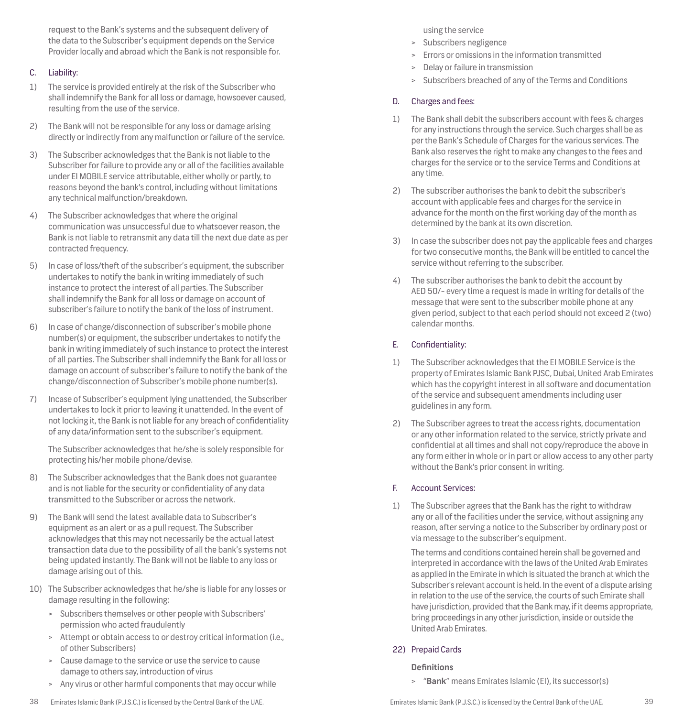request to the Bank's systems and the subsequent delivery of the data to the Subscriber's equipment depends on the Service Provider locally and abroad which the Bank is not responsible for.

## C. Liability:

- 1) The service is provided entirely at the risk of the Subscriber who shall indemnify the Bank for all loss or damage, howsoever caused, resulting from the use of the service.
- 2) The Bank will not be responsible for any loss or damage arising directly or indirectly from any malfunction or failure of the service.
- 3) The Subscriber acknowledges that the Bank is not liable to the Subscriber for failure to provide any or all of the facilities available under EI MOBILE service attributable, either wholly or partly, to reasons beyond the bank's control, including without limitations any technical malfunction/breakdown.
- 4) The Subscriber acknowledges that where the original communication was unsuccessful due to whatsoever reason, the Bank is not liable to retransmit any data till the next due date as per contracted frequency.
- 5) In case of loss/theft of the subscriber's equipment, the subscriber undertakes to notify the bank in writing immediately of such instance to protect the interest of all parties. The Subscriber shall indemnify the Bank for all loss or damage on account of subscriber's failure to notify the bank of the loss of instrument.
- 6) In case of change/disconnection of subscriber's mobile phone number(s) or equipment, the subscriber undertakes to notify the bank in writing immediately of such instance to protect the interest of all parties. The Subscriber shall indemnify the Bank for all loss or damage on account of subscriber's failure to notify the bank of the change/disconnection of Subscriber's mobile phone number(s).
- 7) Incase of Subscriber's equipment lying unattended, the Subscriber undertakes to lock it prior to leaving it unattended. In the event of not locking it, the Bank is not liable for any breach of confidentiality of any data/information sent to the subscriber's equipment.

The Subscriber acknowledges that he/she is solely responsible for protecting his/her mobile phone/devise.

- 8) The Subscriber acknowledges that the Bank does not guarantee and is not liable for the security or confidentiality of any data transmitted to the Subscriber or across the network.
- 9) The Bank will send the latest available data to Subscriber's equipment as an alert or as a pull request. The Subscriber acknowledges that this may not necessarily be the actual latest transaction data due to the possibility of all the bank's systems not being updated instantly. The Bank will not be liable to any loss or damage arising out of this.
- 10) The Subscriber acknowledges that he/she is liable for any losses or damage resulting in the following:
	- > Subscribers themselves or other people with Subscribers' permission who acted fraudulently
	- > Attempt or obtain access to or destroy critical information (i.e., of other Subscribers)
	- Cause damage to the service or use the service to cause damage to others say, introduction of virus
	- > Any virus or other harmful components that may occur while

## using the service

- > Subscribers negligence
- > Errors or omissions in the information transmitted
- > Delay or failure in transmission
- > Subscribers breached of any of the Terms and Conditions

# D. Charges and fees:

- 1) The Bank shall debit the subscribers account with fees & charges for any instructions through the service. Such charges shall be as per the Bank's Schedule of Charges for the various services. The Bank also reserves the right to make any changes to the fees and charges for the service or to the service Terms and Conditions at any time.
- 2) The subscriber authorises the bank to debit the subscriber's account with applicable fees and charges for the service in advance for the month on the first working day of the month as determined by the bank at its own discretion.
- 3) In case the subscriber does not pay the applicable fees and charges for two consecutive months, the Bank will be entitled to cancel the service without referring to the subscriber.
- 4) The subscriber authorises the bank to debit the account by AED 50/- every time a request is made in writing for details of the message that were sent to the subscriber mobile phone at any given period, subject to that each period should not exceed 2 (two) calendar months.

## E. Confidentiality:

- 1) The Subscriber acknowledges that the EI MOBILE Service is the property of Emirates Islamic Bank PJSC, Dubai, United Arab Emirates which has the copyright interest in all software and documentation of the service and subsequent amendments including user guidelines in any form.
- 2) The Subscriber agrees to treat the access rights, documentation or any other information related to the service, strictly private and confidential at all times and shall not copy/reproduce the above in any form either in whole or in part or allow access to any other party without the Bank's prior consent in writing.

## F. Account Services:

1) The Subscriber agrees that the Bank has the right to withdraw any or all of the facilities under the service, without assigning any reason, after serving a notice to the Subscriber by ordinary post or via message to the subscriber's equipment.

The terms and conditions contained herein shall be governed and interpreted in accordance with the laws of the United Arab Emirates as applied in the Emirate in which is situated the branch at which the Subscriber's relevant account is held. In the event of a dispute arising in relation to the use of the service, the courts of such Emirate shall have jurisdiction, provided that the Bank may, if it deems appropriate, bring proceedings in any other jurisdiction, inside or outside the United Arab Emirates.

## 22) Prepaid Cards

## **Definitions**

> "**Bank**" means Emirates Islamic (EI), its successor(s)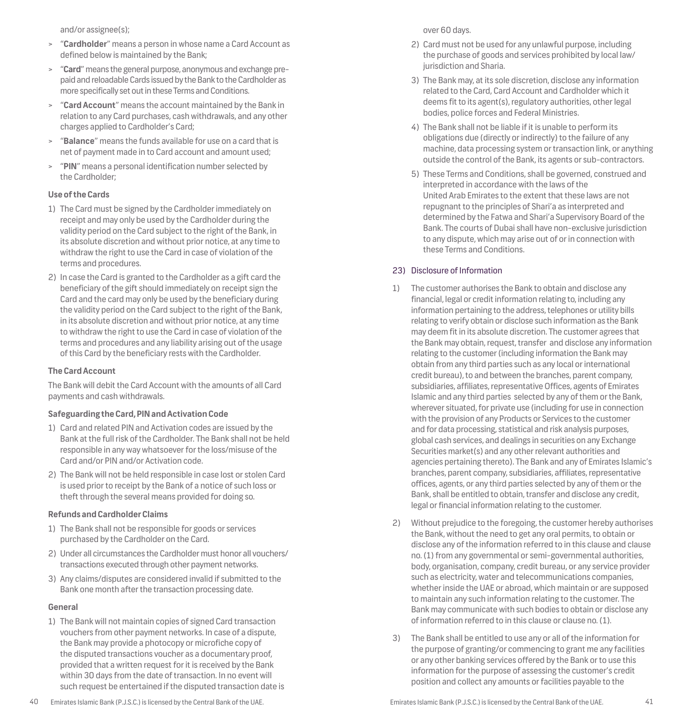and/or assignee(s);

- > "**Cardholder**" means a person in whose name a Card Account as defined below is maintained by the Bank;
- > "**Card**" means the general purpose, anonymous and exchange prepaid and reloadable Cards issued by the Bank to the Cardholder as more specifically set out in these Terms and Conditions.
- > "**Card Account**" means the account maintained by the Bank in relation to any Card purchases, cash withdrawals, and any other charges applied to Cardholder's Card;
- > "**Balance**" means the funds available for use on a card that is net of payment made in to Card account and amount used;
- > "**PIN**" means a personal identification number selected by the Cardholder;

## **Use of the Cards**

- 1) The Card must be signed by the Cardholder immediately on receipt and may only be used by the Cardholder during the validity period on the Card subject to the right of the Bank, in its absolute discretion and without prior notice, at any time to withdraw the right to use the Card in case of violation of the terms and procedures.
- 2) In case the Card is granted to the Cardholder as a gift card the beneficiary of the gift should immediately on receipt sign the Card and the card may only be used by the beneficiary during the validity period on the Card subject to the right of the Bank, in its absolute discretion and without prior notice, at any time to withdraw the right to use the Card in case of violation of the terms and procedures and any liability arising out of the usage of this Card by the beneficiary rests with the Cardholder.

## **The Card Account**

The Bank will debit the Card Account with the amounts of all Card payments and cash withdrawals.

## **Safeguarding the Card, PIN and Activation Code**

- 1) Card and related PIN and Activation codes are issued by the Bank at the full risk of the Cardholder. The Bank shall not be held responsible in any way whatsoever for the loss/misuse of the Card and/or PIN and/or Activation code.
- 2) The Bank will not be held responsible in case lost or stolen Card is used prior to receipt by the Bank of a notice of such loss or theft through the several means provided for doing so.

## **Refunds and Cardholder Claims**

- 1) The Bank shall not be responsible for goods or services purchased by the Cardholder on the Card.
- 2) Under all circumstances the Cardholder must honor all vouchers/ transactions executed through other payment networks.
- 3) Any claims/disputes are considered invalid if submitted to the Bank one month after the transaction processing date.

## **General**

1) The Bank will not maintain copies of signed Card transaction vouchers from other payment networks. In case of a dispute, the Bank may provide a photocopy or microfiche copy of the disputed transactions voucher as a documentary proof, provided that a written request for it is received by the Bank within 30 days from the date of transaction. In no event will such request be entertained if the disputed transaction date is

- 2) Card must not be used for any unlawful purpose, including the purchase of goods and services prohibited by local law/ jurisdiction and Sharia.
- 3) The Bank may, at its sole discretion, disclose any information related to the Card, Card Account and Cardholder which it deems fit to its agent(s), regulatory authorities, other legal bodies, police forces and Federal Ministries.
- 4) The Bank shall not be liable if it is unable to perform its obligations due (directly or indirectly) to the failure of any machine, data processing system or transaction link, or anything outside the control of the Bank, its agents or sub-contractors.
- 5) These Terms and Conditions, shall be governed, construed and interpreted in accordance with the laws of the United Arab Emirates to the extent that these laws are not repugnant to the principles of Shari'a as interpreted and determined by the Fatwa and Shari'a Supervisory Board of the Bank. The courts of Dubai shall have non-exclusive jurisdiction to any dispute, which may arise out of or in connection with these Terms and Conditions.

## 23) Disclosure of Information

- 1) The customer authorises the Bank to obtain and disclose any financial, legal or credit information relating to, including any information pertaining to the address, telephones or utility bills relating to verify obtain or disclose such information as the Bank may deem fit in its absolute discretion. The customer agrees that the Bank may obtain, request, transfer and disclose any information relating to the customer (including information the Bank may obtain from any third parties such as any local or international credit bureau), to and between the branches, parent company, subsidiaries, affiliates, representative Offices, agents of Emirates Islamic and any third parties selected by any of them or the Bank, wherever situated, for private use (including for use in connection with the provision of any Products or Services to the customer and for data processing, statistical and risk analysis purposes, global cash services, and dealings in securities on any Exchange Securities market(s) and any other relevant authorities and agencies pertaining thereto). The Bank and any of Emirates Islamic's branches, parent company, subsidiaries, affiliates, representative offices, agents, or any third parties selected by any of them or the Bank, shall be entitled to obtain, transfer and disclose any credit, legal or financial information relating to the customer.
- 2) Without prejudice to the foregoing, the customer hereby authorises the Bank, without the need to get any oral permits, to obtain or disclose any of the information referred to in this clause and clause no. (1) from any governmental or semi-governmental authorities, body, organisation, company, credit bureau, or any service provider such as electricity, water and telecommunications companies, whether inside the UAE or abroad, which maintain or are supposed to maintain any such information relating to the customer. The Bank may communicate with such bodies to obtain or disclose any of information referred to in this clause or clause no. (1).
- 3) The Bank shall be entitled to use any or all of the information for the purpose of granting/or commencing to grant me any facilities or any other banking services offered by the Bank or to use this information for the purpose of assessing the customer's credit position and collect any amounts or facilities payable to the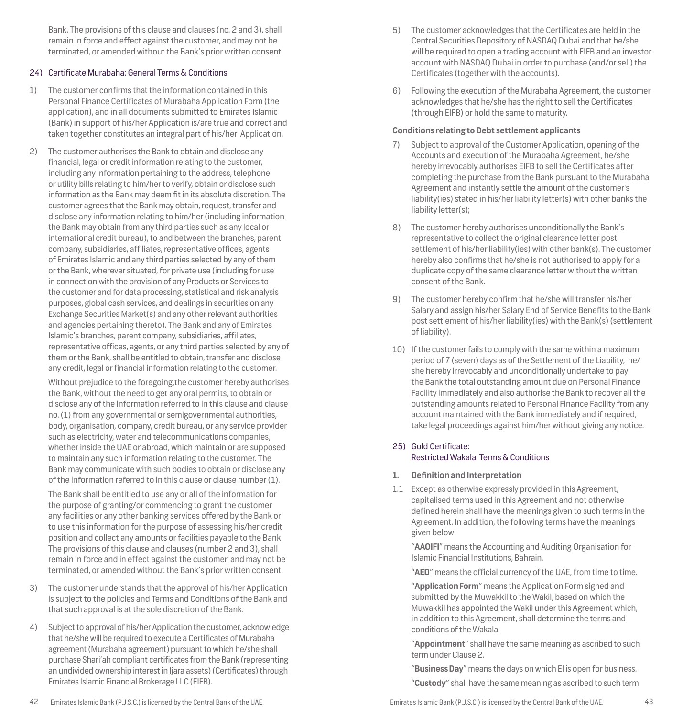Bank. The provisions of this clause and clauses (no. 2 and 3), shall remain in force and effect against the customer, and may not be terminated, or amended without the Bank's prior written consent.

## 24) Certificate Murabaha: General Terms & Conditions

- 1) The customer confirms that the information contained in this Personal Finance Certificates of Murabaha Application Form (the application), and in all documents submitted to Emirates Islamic (Bank) in support of his/her Application is/are true and correct and taken together constitutes an integral part of his/her Application.
- 2) The customer authorises the Bank to obtain and disclose any financial, legal or credit information relating to the customer, including any information pertaining to the address, telephone or utility bills relating to him/her to verify, obtain or disclose such information as the Bank may deem fit in its absolute discretion. The customer agrees that the Bank may obtain, request, transfer and disclose any information relating to him/her (including information the Bank may obtain from any third parties such as any local or international credit bureau), to and between the branches, parent company, subsidiaries, affiliates, representative offices, agents of Emirates Islamic and any third parties selected by any of them or the Bank, wherever situated, for private use (including for use in connection with the provision of any Products or Services to the customer and for data processing, statistical and risk analysis purposes, global cash services, and dealings in securities on any Exchange Securities Market(s) and any other relevant authorities and agencies pertaining thereto). The Bank and any of Emirates Islamic's branches, parent company, subsidiaries, affiliates, representative offices, agents, or any third parties selected by any of them or the Bank, shall be entitled to obtain, transfer and disclose any credit, legal or financial information relating to the customer.

Without prejudice to the foregoing,the customer hereby authorises the Bank, without the need to get any oral permits, to obtain or disclose any of the information referred to in this clause and clause no. (1) from any governmental or semigovernmental authorities, body, organisation, company, credit bureau, or any service provider such as electricity, water and telecommunications companies, whether inside the UAE or abroad, which maintain or are supposed to maintain any such information relating to the customer. The Bank may communicate with such bodies to obtain or disclose any of the information referred to in this clause or clause number (1).

The Bank shall be entitled to use any or all of the information for the purpose of granting/or commencing to grant the customer any facilities or any other banking services offered by the Bank or to use this information for the purpose of assessing his/her credit position and collect any amounts or facilities payable to the Bank. The provisions of this clause and clauses (number 2 and 3), shall remain in force and in effect against the customer, and may not be terminated, or amended without the Bank's prior written consent.

- 3) The customer understands that the approval of his/her Application is subject to the policies and Terms and Conditions of the Bank and that such approval is at the sole discretion of the Bank.
- 4) Subject to approval of his/her Application the customer, acknowledge that he/she will be required to execute a Certificates of Murabaha agreement (Murabaha agreement) pursuant to which he/she shall purchase Shari'ah compliant certificates from the Bank (representing an undivided ownership interest in Ijara assets) (Certificates) through Emirates Islamic Financial Brokerage LLC (EIFB).
- 5) The customer acknowledges that the Certificates are held in the Central Securities Depository of NASDAQ Dubai and that he/she will be required to open a trading account with EIFB and an investor account with NASDAQ Dubai in order to purchase (and/or sell) the Certificates (together with the accounts).
- 6) Following the execution of the Murabaha Agreement, the customer acknowledges that he/she has the right to sell the Certificates (through EIFB) or hold the same to maturity.

## **Conditions relating to Debt settlement applicants**

- 7) Subject to approval of the Customer Application, opening of the Accounts and execution of the Murabaha Agreement, he/she hereby irrevocably authorises EIFB to sell the Certificates after completing the purchase from the Bank pursuant to the Murabaha Agreement and instantly settle the amount of the customer's liability(ies) stated in his/her liability letter(s) with other banks the liability letter(s);
- 8) The customer hereby authorises unconditionally the Bank's representative to collect the original clearance letter post settlement of his/her liability(ies) with other bank(s). The customer hereby also confirms that he/she is not authorised to apply for a duplicate copy of the same clearance letter without the written consent of the Bank.
- 9) The customer hereby confirm that he/she will transfer his/her Salary and assign his/her Salary End of Service Benefits to the Bank post settlement of his/her liability(ies) with the Bank(s) (settlement of liability).
- 10) If the customer fails to comply with the same within a maximum period of 7 (seven) days as of the Settlement of the Liability, he/ she hereby irrevocably and unconditionally undertake to pay the Bank the total outstanding amount due on Personal Finance Facility immediately and also authorise the Bank to recover all the outstanding amounts related to Personal Finance Facility from any account maintained with the Bank immediately and if required, take legal proceedings against him/her without giving any notice.

## 25) Gold Certificate: Restricted Wakala Terms & Conditions

## **1. Definition and Interpretation**

1.1 Except as otherwise expressly provided in this Agreement, capitalised terms used in this Agreement and not otherwise defined herein shall have the meanings given to such terms in the Agreement. In addition, the following terms have the meanings given below:

"**AAOIFI**" means the Accounting and Auditing Organisation for Islamic Financial Institutions, Bahrain.

"**AED**" means the official currency of the UAE, from time to time.

"**Application Form**" means the Application Form signed and submitted by the Muwakkil to the Wakil, based on which the Muwakkil has appointed the Wakil under this Agreement which, in addition to this Agreement, shall determine the terms and conditions of the Wakala.

"**Appointment**" shall have the same meaning as ascribed to such term under Clause 2.

"**Business Day**" means the days on which EI is open for business.

"**Custody**" shall have the same meaning as ascribed to such term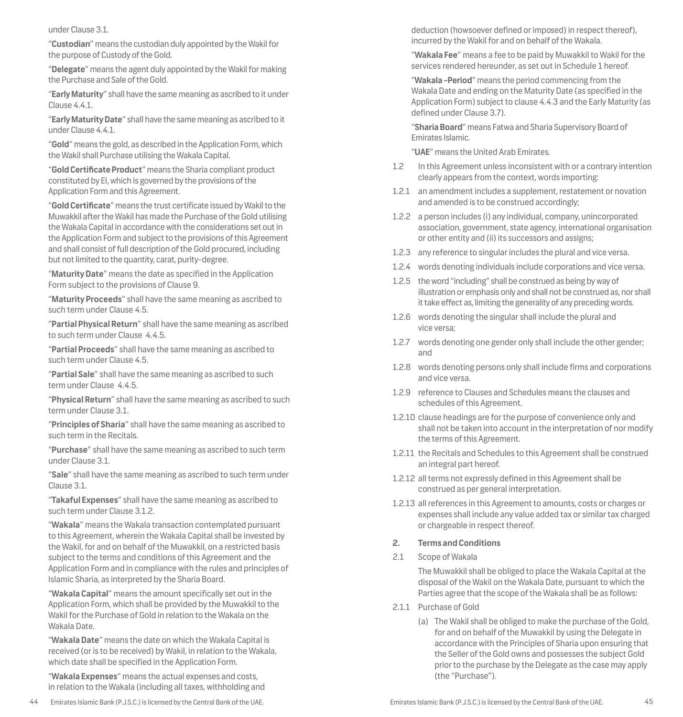under Clause 3.1.

"**Custodian**" means the custodian duly appointed by the Wakil for the purpose of Custody of the Gold.

"**Delegate**" means the agent duly appointed by the Wakil for making the Purchase and Sale of the Gold.

"**Early Maturity**" shall have the same meaning as ascribed to it under Clause 4.4.1.

"**Early Maturity Date**" shall have the same meaning as ascribed to it under Clause 4.4.1.

"**Gold**" means the gold, as described in the Application Form, which the Wakil shall Purchase utilising the Wakala Capital.

"**Gold Certificate Product**" means the Sharia compliant product constituted by EI, which is governed by the provisions of the Application Form and this Agreement.

"**Gold Certificate**" means the trust certificate issued by Wakil to the Muwakkil after the Wakil has made the Purchase of the Gold utilising the Wakala Capital in accordance with the considerations set out in the Application Form and subject to the provisions of this Agreement and shall consist of full description of the Gold procured, including but not limited to the quantity, carat, purity-degree.

"**Maturity Date**" means the date as specified in the Application Form subject to the provisions of Clause 9.

"**Maturity Proceeds**" shall have the same meaning as ascribed to such term under Clause 4.5.

"**Partial Physical Return**" shall have the same meaning as ascribed to such term under Clause 4.4.5.

"**Partial Proceeds**" shall have the same meaning as ascribed to such term under Clause 4.5.

"**Partial Sale**" shall have the same meaning as ascribed to such term under Clause 4.4.5.

"**Physical Return**" shall have the same meaning as ascribed to such term under Clause 3.1.

"**Principles of Sharia**" shall have the same meaning as ascribed to such term in the Recitals.

"**Purchase**" shall have the same meaning as ascribed to such term under Clause 3.1.

"**Sale**" shall have the same meaning as ascribed to such term under Clause 3.1.

"**Takaful Expenses**" shall have the same meaning as ascribed to such term under Clause 3.1.2.

"**Wakala**" means the Wakala transaction contemplated pursuant to this Agreement, wherein the Wakala Capital shall be invested by the Wakil, for and on behalf of the Muwakkil, on a restricted basis subject to the terms and conditions of this Agreement and the Application Form and in compliance with the rules and principles of Islamic Sharia, as interpreted by the Sharia Board.

"**Wakala Capital**" means the amount specifically set out in the Application Form, which shall be provided by the Muwakkil to the Wakil for the Purchase of Gold in relation to the Wakala on the Wakala Date.

"**Wakala Date**" means the date on which the Wakala Capital is received (or is to be received) by Wakil, in relation to the Wakala, which date shall be specified in the Application Form.

"**Wakala Expenses**" means the actual expenses and costs, in relation to the Wakala (including all taxes, withholding and deduction (howsoever defined or imposed) in respect thereof), incurred by the Wakil for and on behalf of the Wakala.

"**Wakala Fee**" means a fee to be paid by Muwakkil to Wakil for the services rendered hereunder, as set out in Schedule 1 hereof.

"**Wakala -Period**" means the period commencing from the Wakala Date and ending on the Maturity Date (as specified in the Application Form) subject to clause 4.4.3 and the Early Maturity (as defined under Clause 3.7).

"**Sharia Board**" means Fatwa and Sharia Supervisory Board of Emirates Islamic.

"**UAE**" means the United Arab Emirates.

- 1.2 In this Agreement unless inconsistent with or a contrary intention clearly appears from the context, words importing:
- 1.2.1 an amendment includes a supplement, restatement or novation and amended is to be construed accordingly;
- 1.2.2 a person includes (i) any individual, company, unincorporated association, government, state agency, international organisation or other entity and (ii) its successors and assigns;
- 1.2.3 any reference to singular includes the plural and vice versa.
- 1.2.4 words denoting individuals include corporations and vice versa.
- 1.2.5 the word "including" shall be construed as being by way of illustration or emphasis only and shall not be construed as, nor shall it take effect as, limiting the generality of any preceding words.
- 1.2.6 words denoting the singular shall include the plural and vice versa;
- 1.2.7 words denoting one gender only shall include the other gender; and
- 1.2.8 words denoting persons only shall include firms and corporations and vice versa.
- 1.2.9 reference to Clauses and Schedules means the clauses and schedules of this Agreement.
- 1.2.10 clause headings are for the purpose of convenience only and shall not be taken into account in the interpretation of nor modify the terms of this Agreement.
- 1.2.11 the Recitals and Schedules to this Agreement shall be construed an integral part hereof.
- 1.2.12 all terms not expressly defined in this Agreement shall be construed as per general interpretation.
- 1.2.13 all references in this Agreement to amounts, costs or charges or expenses shall include any value added tax or similar tax charged or chargeable in respect thereof.

## **2. Terms and Conditions**

2.1 Scope of Wakala

The Muwakkil shall be obliged to place the Wakala Capital at the disposal of the Wakil on the Wakala Date, pursuant to which the Parties agree that the scope of the Wakala shall be as follows:

- 2.1.1 Purchase of Gold
	- (a) The Wakil shall be obliged to make the purchase of the Gold, for and on behalf of the Muwakkil by using the Delegate in accordance with the Principles of Sharia upon ensuring that the Seller of the Gold owns and possesses the subject Gold prior to the purchase by the Delegate as the case may apply (the "Purchase").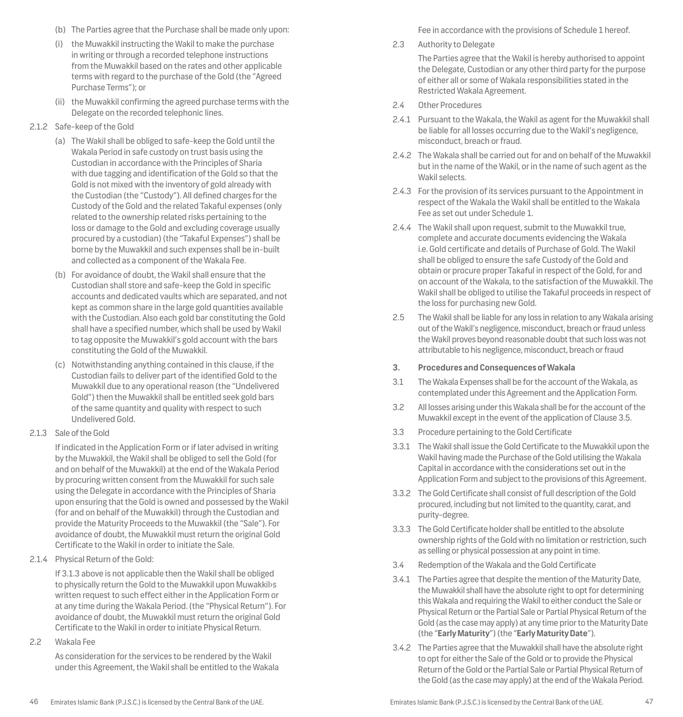- (b) The Parties agree that the Purchase shall be made only upon:
- (i) the Muwakkil instructing the Wakil to make the purchase in writing or through a recorded telephone instructions from the Muwakkil based on the rates and other applicable terms with regard to the purchase of the Gold (the "Agreed Purchase Terms"); or
- (ii) the Muwakkil confirming the agreed purchase terms with the Delegate on the recorded telephonic lines.
- 2.1.2 Safe-keep of the Gold
	- (a) The Wakil shall be obliged to safe-keep the Gold until the Wakala Period in safe custody on trust basis using the Custodian in accordance with the Principles of Sharia with due tagging and identification of the Gold so that the Gold is not mixed with the inventory of gold already with the Custodian (the "Custody"). All defined charges for the Custody of the Gold and the related Takaful expenses (only related to the ownership related risks pertaining to the loss or damage to the Gold and excluding coverage usually procured by a custodian) (the "Takaful Expenses") shall be borne by the Muwakkil and such expenses shall be in-built and collected as a component of the Wakala Fee.
	- (b) For avoidance of doubt, the Wakil shall ensure that the Custodian shall store and safe-keep the Gold in specific accounts and dedicated vaults which are separated, and not kept as common share in the large gold quantities available with the Custodian. Also each gold bar constituting the Gold shall have a specified number, which shall be used by Wakil to tag opposite the Muwakkil's gold account with the bars constituting the Gold of the Muwakkil.
	- (c) Notwithstanding anything contained in this clause, if the Custodian fails to deliver part of the identified Gold to the Muwakkil due to any operational reason (the "Undelivered Gold") then the Muwakkil shall be entitled seek gold bars of the same quantity and quality with respect to such Undelivered Gold.
- 2.1.3 Sale of the Gold

If indicated in the Application Form or if later advised in writing by the Muwakkil, the Wakil shall be obliged to sell the Gold (for and on behalf of the Muwakkil) at the end of the Wakala Period by procuring written consent from the Muwakkil for such sale using the Delegate in accordance with the Principles of Sharia upon ensuring that the Gold is owned and possessed by the Wakil (for and on behalf of the Muwakkil) through the Custodian and provide the Maturity Proceeds to the Muwakkil (the "Sale"). For avoidance of doubt, the Muwakkil must return the original Gold Certificate to the Wakil in order to initiate the Sale.

2.1.4 Physical Return of the Gold:

If 3.1.3 above is not applicable then the Wakil shall be obliged to physically return the Gold to the Muwakkil upon Muwakkil›s written request to such effect either in the Application Form or at any time during the Wakala Period. (the "Physical Return"). For avoidance of doubt, the Muwakkil must return the original Gold Certificate to the Wakil in order to initiate Physical Return.

2.2 Wakala Fee

As consideration for the services to be rendered by the Wakil under this Agreement, the Wakil shall be entitled to the Wakala Fee in accordance with the provisions of Schedule 1 hereof.

2.3 Authority to Delegate

The Parties agree that the Wakil is hereby authorised to appoint the Delegate, Custodian or any other third party for the purpose of either all or some of Wakala responsibilities stated in the Restricted Wakala Agreement.

- 2.4 Other Procedures
- 2.4.1 Pursuant to the Wakala, the Wakil as agent for the Muwakkil shall be liable for all losses occurring due to the Wakil's negligence, misconduct, breach or fraud.
- 2.4.2 The Wakala shall be carried out for and on behalf of the Muwakkil but in the name of the Wakil, or in the name of such agent as the Wakil selects.
- 2.4.3 For the provision of its services pursuant to the Appointment in respect of the Wakala the Wakil shall be entitled to the Wakala Fee as set out under Schedule 1.
- 2.4.4 The Wakil shall upon request, submit to the Muwakkil true, complete and accurate documents evidencing the Wakala i.e. Gold certificate and details of Purchase of Gold. The Wakil shall be obliged to ensure the safe Custody of the Gold and obtain or procure proper Takaful in respect of the Gold, for and on account of the Wakala, to the satisfaction of the Muwakkil. The Wakil shall be obliged to utilise the Takaful proceeds in respect of the loss for purchasing new Gold.
- 2.5 The Wakil shall be liable for any loss in relation to any Wakala arising out of the Wakil's negligence, misconduct, breach or fraud unless the Wakil proves beyond reasonable doubt that such loss was not attributable to his negligence, misconduct, breach or fraud
- **3. Procedures and Consequences of Wakala**
- 3.1 The Wakala Expenses shall be for the account of the Wakala, as contemplated under this Agreement and the Application Form.
- 3.2 All losses arising under this Wakala shall be for the account of the Muwakkil except in the event of the application of Clause 3.5.
- 3.3 Procedure pertaining to the Gold Certificate
- 3.3.1 The Wakil shall issue the Gold Certificate to the Muwakkil upon the Wakil having made the Purchase of the Gold utilising the Wakala Capital in accordance with the considerations set out in the Application Form and subject to the provisions of this Agreement.
- 3.3.2 The Gold Certificate shall consist of full description of the Gold procured, including but not limited to the quantity, carat, and purity-degree.
- 3.3.3 The Gold Certificate holder shall be entitled to the absolute ownership rights of the Gold with no limitation or restriction, such as selling or physical possession at any point in time.
- 3.4 Redemption of the Wakala and the Gold Certificate
- 3.4.1 The Parties agree that despite the mention of the Maturity Date, the Muwakkil shall have the absolute right to opt for determining this Wakala and requiring the Wakil to either conduct the Sale or Physical Return or the Partial Sale or Partial Physical Return of the Gold (as the case may apply) at any time prior to the Maturity Date (the "**Early Maturity**") (the "**Early Maturity Date**").
- 3.4.2 The Parties agree that the Muwakkil shall have the absolute right to opt for either the Sale of the Gold or to provide the Physical Return of the Gold or the Partial Sale or Partial Physical Return of the Gold (as the case may apply) at the end of the Wakala Period.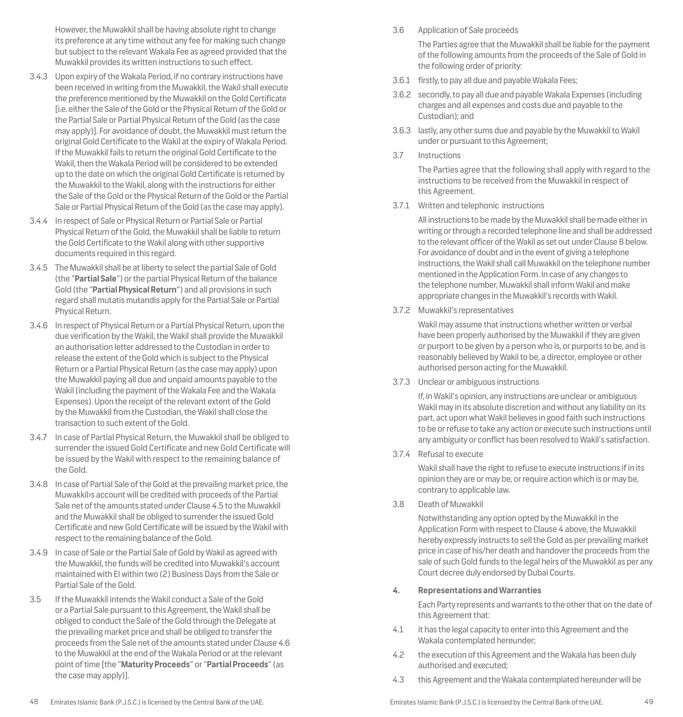However, the Muwakkil shall be having absolute right to change its preference at any time without any fee for making such change but subject to the relevant Wakala Fee as agreed provided that the Muwakkil provides its written instructions to such effect.

- 3.4.3 Upon expiry of the Wakala Period, if no contrary instructions have been received in writing from the Muwakkil, the Wakil shall execute the preference mentioned by the Muwakkil on the Gold Certificate [i.e. either the Sale of the Gold or the Physical Return of the Gold or the Partial Sale or Partial Physical Return of the Gold (as the case may apply)]. For avoidance of doubt, the Muwakkil must return the original Gold Certificate to the Wakil at the expiry of Wakala Period. If the Muwakkil fails to return the original Gold Certificate to the Wakil, then the Wakala Period will be considered to be extended up to the date on which the original Gold Certificate is returned by the Muwakkil to the Wakil, along with the instructions for either the Sale of the Gold or the Physical Return of the Gold or the Partial Sale or Partial Physical Return of the Gold (as the case may apply).
- 3.4.4 In respect of Sale or Physical Return or Partial Sale or Partial Physical Return of the Gold, the Muwakkil shall be liable to return the Gold Certificate to the Wakil along with other supportive documents required in this regard.
- 3.4.5 The Muwakkil shall be at liberty to select the partial Sale of Gold (the "**Partial Sale**") or the partial Physical Return of the balance Gold (the "**Partial Physical Return**") and all provisions in such regard shall mutatis mutandis apply for the Partial Sale or Partial Physical Return.
- 3.4.6 In respect of Physical Return or a Partial Physical Return, upon the due verification by the Wakil, the Wakil shall provide the Muwakkil an authorisation letter addressed to the Custodian in order to release the extent of the Gold which is subject to the Physical Return or a Partial Physical Return (as the case may apply) upon the Muwakkil paying all due and unpaid amounts payable to the Wakil (including the payment of the Wakala Fee and the Wakala Expenses). Upon the receipt of the relevant extent of the Gold by the Muwakkil from the Custodian, the Wakil shall close the transaction to such extent of the Gold.
- 3.4.7 In case of Partial Physical Return, the Muwakkil shall be obliged to surrender the issued Gold Certificate and new Gold Certificate will be issued by the Wakil with respect to the remaining balance of the Gold.
- 3.4.8 In case of Partial Sale of the Gold at the prevailing market price, the Muwakkil›s account will be credited with proceeds of the Partial Sale net of the amounts stated under Clause 4.5 to the Muwakkil and the Muwakkil shall be obliged to surrender the issued Gold Certificate and new Gold Certificate will be issued by the Wakil with respect to the remaining balance of the Gold.
- 3.4.9 In case of Sale or the Partial Sale of Gold by Wakil as agreed with the Muwakkil, the funds will be credited into Muwakkil's account maintained with EI within two (2) Business Days from the Sale or Partial Sale of the Gold.
- 3.5 If the Muwakkil intends the Wakil conduct a Sale of the Gold or a Partial Sale pursuant to this Agreement, the Wakil shall be obliged to conduct the Sale of the Gold through the Delegate at the prevailing market price and shall be obliged to transfer the proceeds from the Sale net of the amounts stated under Clause 4.6 to the Muwakkil at the end of the Wakala Period or at the relevant point of time [the "**Maturity Proceeds**" or "**Partial Proceeds**" (as the case may apply)].

## 3.6 Application of Sale proceeds

The Parties agree that the Muwakkil shall be liable for the payment of the following amounts from the proceeds of the Sale of Gold in the following order of priority:

- 3.6.1 firstly, to pay all due and payable Wakala Fees;
- 3.6.2 secondly, to pay all due and payable Wakala Expenses (including charges and all expenses and costs due and payable to the Custodian); and
- 3.6.3 lastly, any other sums due and payable by the Muwakkil to Wakil under or pursuant to this Agreement;
- 3.7 Instructions

The Parties agree that the following shall apply with regard to the instructions to be received from the Muwakkil in respect of this Agreement.

3.7.1 Written and telephonic instructions

All instructions to be made by the Muwakkil shall be made either in writing or through a recorded telephone line and shall be addressed to the relevant officer of the Wakil as set out under Clause 8 below. For avoidance of doubt and in the event of giving a telephone instructions, the Wakil shall call Muwakkil on the telephone number mentioned in the Application Form. In case of any changes to the telephone number, Muwakkil shall inform Wakil and make appropriate changes in the Muwakkil's records with Wakil.

3.7.2 Muwakkil's representatives

Wakil may assume that instructions whether written or verbal have been properly authorised by the Muwakkil if they are given or purport to be given by a person who is, or purports to be, and is reasonably believed by Wakil to be, a director, employee or other authorised person acting for the Muwakkil.

3.7.3 Unclear or ambiguous instructions

If, in Wakil's opinion, any instructions are unclear or ambiguous Wakil may in its absolute discretion and without any liability on its part, act upon what Wakil believes in good faith such instructions to be or refuse to take any action or execute such instructions until any ambiguity or conflict has been resolved to Wakil's satisfaction.

3.7.4 Refusal to execute

Wakil shall have the right to refuse to execute instructions if in its opinion they are or may be, or require action which is or may be, contrary to applicable law.

3.8 Death of Muwakkil

Notwithstanding any option opted by the Muwakkil in the Application Form with respect to Clause 4 above, the Muwakkil hereby expressly instructs to sell the Gold as per prevailing market price in case of his/her death and handover the proceeds from the sale of such Gold funds to the legal heirs of the Muwakkil as per any Court decree duly endorsed by Dubai Courts.

**4. Representations and Warranties** 

Each Party represents and warrants to the other that on the date of this Agreement that:

- 4.1 it has the legal capacity to enter into this Agreement and the Wakala contemplated hereunder;
- 4.2 the execution of this Agreement and the Wakala has been duly authorised and executed;
- 4.3 this Agreement and the Wakala contemplated hereunder will be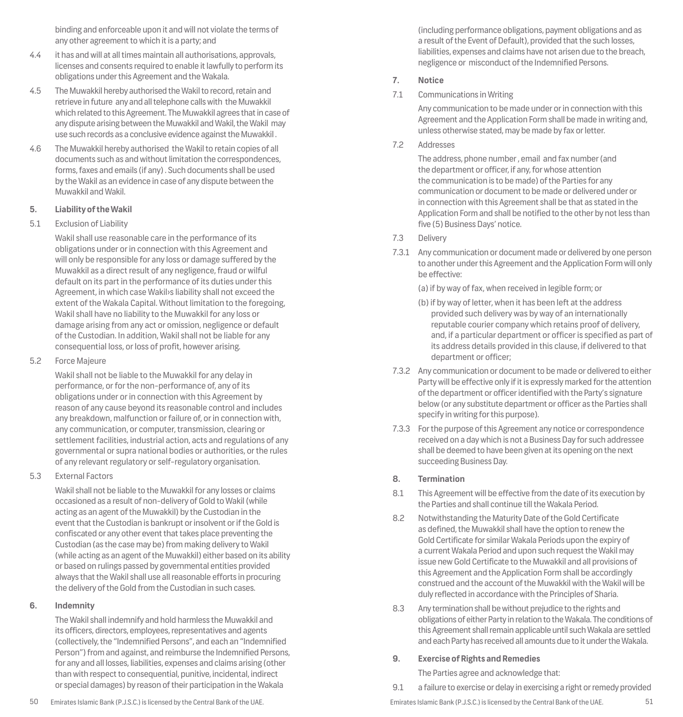binding and enforceable upon it and will not violate the terms of any other agreement to which it is a party; and

- 4.4 it has and will at all times maintain all authorisations, approvals, licenses and consents required to enable it lawfully to perform its obligations under this Agreement and the Wakala.
- 4.5 The Muwakkil hereby authorised the Wakil to record, retain and retrieve in future any and all telephone calls with the Muwakkil which related to this Agreement. The Muwakkil agrees that in case of any dispute arising between the Muwakkil and Wakil, the Wakil may use such records as a conclusive evidence against the Muwakkil .
- 4.6 The Muwakkil hereby authorised the Wakil to retain copies of all documents such as and without limitation the correspondences, forms, faxes and emails (if any) . Such documents shall be used by the Wakil as an evidence in case of any dispute between the Muwakkil and Wakil.

## **5. Liability of the Wakil**

## 5.1 Exclusion of Liability

Wakil shall use reasonable care in the performance of its obligations under or in connection with this Agreement and will only be responsible for any loss or damage suffered by the Muwakkil as a direct result of any negligence, fraud or wilful default on its part in the performance of its duties under this Agreement, in which case Wakil›s liability shall not exceed the extent of the Wakala Capital. Without limitation to the foregoing, Wakil shall have no liability to the Muwakkil for any loss or damage arising from any act or omission, negligence or default of the Custodian. In addition, Wakil shall not be liable for any consequential loss, or loss of profit, however arising.

5.2 Force Majeure

Wakil shall not be liable to the Muwakkil for any delay in performance, or for the non-performance of, any of its obligations under or in connection with this Agreement by reason of any cause beyond its reasonable control and includes any breakdown, malfunction or failure of, or in connection with, any communication, or computer, transmission, clearing or settlement facilities, industrial action, acts and regulations of any governmental or supra national bodies or authorities, or the rules of any relevant regulatory or self-regulatory organisation.

5.3 External Factors

Wakil shall not be liable to the Muwakkil for any losses or claims occasioned as a result of non-delivery of Gold to Wakil (while acting as an agent of the Muwakkil) by the Custodian in the event that the Custodian is bankrupt or insolvent or if the Gold is confiscated or any other event that takes place preventing the Custodian (as the case may be) from making delivery to Wakil (while acting as an agent of the Muwakkil) either based on its ability or based on rulings passed by governmental entities provided always that the Wakil shall use all reasonable efforts in procuring the delivery of the Gold from the Custodian in such cases.

## **6. Indemnity**

The Wakil shall indemnify and hold harmless the Muwakkil and its officers, directors, employees, representatives and agents (collectively, the "Indemnified Persons", and each an "Indemnified Person") from and against, and reimburse the Indemnified Persons, for any and all losses, liabilities, expenses and claims arising (other than with respect to consequential, punitive, incidental, indirect or special damages) by reason of their participation in the Wakala

liabilities, expenses and claims have not arisen due to the breach, negligence or misconduct of the Indemnified Persons. **7. Notice** 7.1 Communications in Writing

> Any communication to be made under or in connection with this Agreement and the Application Form shall be made in writing and, unless otherwise stated, may be made by fax or letter.

(including performance obligations, payment obligations and as a result of the Event of Default), provided that the such losses,

7.2 Addresses

The address, phone number , email and fax number (and the department or officer, if any, for whose attention the communication is to be made) of the Parties for any communication or document to be made or delivered under or in connection with this Agreement shall be that as stated in the Application Form and shall be notified to the other by not less than five (5) Business Days' notice.

- 7.3 Delivery
- 7.3.1 Any communication or document made or delivered by one person to another under this Agreement and the Application Form will only be effective:

(a) if by way of fax, when received in legible form; or

- (b) if by way of letter, when it has been left at the address provided such delivery was by way of an internationally reputable courier company which retains proof of delivery, and, if a particular department or officer is specified as part of its address details provided in this clause, if delivered to that department or officer;
- 7.3.2 Any communication or document to be made or delivered to either Party will be effective only if it is expressly marked for the attention of the department or officer identified with the Party's signature below (or any substitute department or officer as the Parties shall specify in writing for this purpose).
- 7.3.3 For the purpose of this Agreement any notice or correspondence received on a day which is not a Business Day for such addressee shall be deemed to have been given at its opening on the next succeeding Business Day.

## **8. Termination**

- 8.1 This Agreement will be effective from the date of its execution by the Parties and shall continue till the Wakala Period.
- 8.2 Notwithstanding the Maturity Date of the Gold Certificate as defined, the Muwakkil shall have the option to renew the Gold Certificate for similar Wakala Periods upon the expiry of a current Wakala Period and upon such request the Wakil may issue new Gold Certificate to the Muwakkil and all provisions of this Agreement and the Application Form shall be accordingly construed and the account of the Muwakkil with the Wakil will be duly reflected in accordance with the Principles of Sharia.
- 8.3 Any termination shall be without prejudice to the rights and obligations of either Party in relation to the Wakala. The conditions of this Agreement shall remain applicable until such Wakala are settled and each Party has received all amounts due to it under the Wakala.

## **9. Exercise of Rights and Remedies**

The Parties agree and acknowledge that:

9.1 a failure to exercise or delay in exercising a right or remedy provided